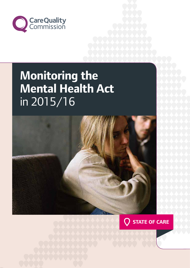

# **Mental Health Act Monitoring the**  in 2015/16



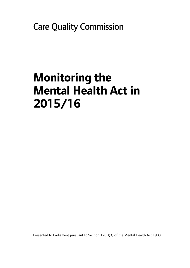Care Quality Commission

# **Monitoring the Mental Health Act in 2015/16**

Presented to Parliament pursuant to Section 120D(3) of the Mental Health Act 1983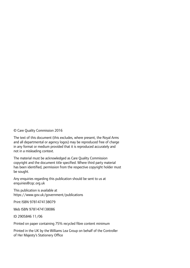© Care Quality Commission 2016

The text of this document (this excludes, where present, the Royal Arms and all departmental or agency logos) may be reproduced free of charge in any format or medium provided that it is reproduced accurately and not in a misleading context.

The material must be acknowledged as Care Quality Commission copyright and the document title specified. Where third party material has been identified, permission from the respective copyright holder must be sought.

Any enquiries regarding this publication should be sent to us at enquiries@cqc.org.uk

This publication is available at https://www.gov.uk/government/publications

Print ISBN 9781474138079

Web ISBN 9781474138086

ID 2905846 11/06

Printed on paper containing 75% recycled fibre content minimum

Printed in the UK by the Williams Lea Group on behalf of the Controller of Her Majesty's Stationery Office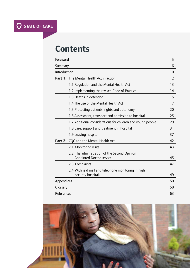# **Contents**

| Foreword     |                                                                                 | 5  |
|--------------|---------------------------------------------------------------------------------|----|
| Summary      |                                                                                 | 6  |
| Introduction |                                                                                 | 10 |
|              | <b>Part 1:</b> The Mental Health Act in action                                  | 12 |
|              | 1.1 Regulation and the Mental Health Act                                        | 13 |
|              | 1.2 Implementing the revised Code of Practice                                   | 14 |
|              | 1.3 Deaths in detention                                                         | 15 |
|              | 1.4 The use of the Mental Health Act                                            | 17 |
|              | 1.5 Protecting patients' rights and autonomy                                    | 20 |
|              | 1.6 Assessment, transport and admission to hospital                             | 25 |
|              | 1.7 Additional considerations for children and young people                     | 29 |
|              | 1.8 Care, support and treatment in hospital                                     | 31 |
|              | 1.9 Leaving hospital                                                            | 37 |
|              | Part 2: CQC and the Mental Health Act                                           | 42 |
|              | 2.1 Monitoring visits                                                           | 43 |
|              | 2.2 The administration of the Second Opinion<br><b>Appointed Doctor service</b> | 45 |
|              | 2.3 Complaints                                                                  | 47 |
|              | 2.4 Withheld mail and telephone monitoring in high                              |    |
|              | security hospitals                                                              | 49 |
| Appendices   |                                                                                 | 50 |
| Glossary     |                                                                                 | 58 |
| References   |                                                                                 | 63 |

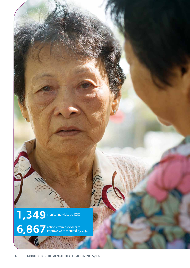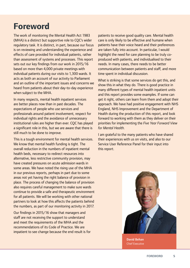## **Foreword**

The work of monitoring the Mental Health Act 1983 (MHA) is a distinct but supportive role to CQC's wider regulatory task. It is distinct, in part, because our focus is on reviewing and understanding the experience and effects of care provided for individual patients, rather than assessment of systems and processes. This report sets out our key findings from our work in 2015/16 based on more than 4,000 private meetings with individual patients during our visits to 1,300 wards. It acts as both an account of our activity to Parliament and an outline of the important issues and concerns we heard from patients about their day-to-day experience when subject to the MHA.

In many respects, mental health inpatient services are better places now than in past decades. The expectations of people who use services and professionals around patient involvement, respect for individual rights and the avoidance of unnecessary institutional rules are higher than ever. CQC has played a significant role in this, but we are aware that there is still much to be done to improve.

This is a tough environment for mental health services. We know that mental health funding is tight. The overall reduction in the numbers of inpatient mental health beds, necessary to redirect resources into alternative, less restrictive community provision, may have created pressures on acute admission wards in some areas. We have noted the rising use of the MHA in our previous reports, perhaps in part due to some areas not yet having the right balance of provision in place. The process of changing the balance of provision also requires careful management to make sure wards continue to provide a safe and therapeutic environment for all patients. We will be working with other national partners to look at how this affects the patients behind the numbers, as part of our monitoring activity in 2017.

Our findings in 2015/16 show that managers and staff are not receiving the support to understand and meet the requirements of the MHA and the recommendations of its Code of Practice. We are impatient to see change because the end result is for patients to receive good quality care. Mental health care is only likely to be effective and humane when patients have their voice heard and their preferences are taken fully into account. In particular, I would highlight the need for care planning to be truly coproduced with patients, and individualised to their needs. In many cases, there needs to be better communication between patients and staff, and more time spent in individual discussion.

What is striking is that some services do get this, and show this in what they do. There is good practice in many different types of mental health inpatient units and this report provides some examples. If some can get it right, others can learn from them and adopt their approach. We have had positive engagement with NHS England, NHS Improvement and the Department of Health during the production of this report, and look forward to working with them as they deliver on their priorities for implementing the *Five Year Forward View for Mental Health*.

I am grateful to the many patients who have shared their experiences with us on visits, and also to our Service User Reference Panel for their input into this report.



David Behan Chief Executive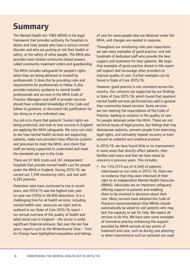# **Summary**

The Mental Health Act 1983 (MHA) is the legal framework that provides authority for hospitals to detain and treat people who have a serious mental disorder and who are putting at risk their health or safety, or the safety of other people. The MHA also provides more limited community-based powers, called community treatment orders and guardianship.

The MHA includes safeguards for people's rights when they are being detained or treated by professionals. It does this by providing rules and requirements for professionals to follow. It also provides statutory guidance to mental health professionals and services in the MHA Code of Practice. Managers and staff in provider services should have a detailed knowledge of the Code and follow its guidance, or document the justification for not doing so in any individual case.

Our job is to check that patients' human rights are being protected, and look at how services in England are applying the MHA safeguards. We carry out visits to see how mental health services are supporting patients, make sure providers have effective systems and processes to meet the MHA, and check that staff are being supported to understand and meet the standards set out in the Code.

There are 57 NHS trusts and 161 independent hospitals that provide mental health care for people under the MHA in England. During 2015/16, we carried out 1,349 monitoring visits, and met with 4,282 patients.

Detention rates have continued to rise in recent years, and 2014/15 saw the highest ever yearon-year rise (10%) to 58,400 detentions. It is a challenging time for all health services, including mental health care: resources are tight and as outlined in our State of Care 2015/16 report – our annual overview of the quality of health and adult social care in England – the sector is under significant financial pressure. But over the last few years, reports such as the *Winterbourne View – Time for Change* have highlighted inequalities and failings

of care for some people who are detained under the MHA, and changes are needed in response.

Throughout our monitoring visits and inspections, we saw many examples of good practice, and met hundreds of dedicated staff who provide the best support and treatment for their patients. We hope that examples of good practice shared in this report will support and encourage other providers to improve quality of care. Further examples can be found in State of Care 2015/16.

However, good practice is not consistent across the country. Our concerns are supported by our findings in State of Care 2015/16, which found that inpatient mental health services performed less well in general than community-based services. Some services are not meeting the expectations of the Code of Practice, leading to variation in the quality of care for people detained under the MHA. These are not technical issues of legal process, but failings that may disempower patients, prevent people from exercising legal rights, and ultimately impede recovery or even amount to unlawful and unethical practice.

In 2015/16, we have found little or no improvement in some areas that directly affect patients, their families and carers and that we have raised as concerns in previous years. This includes:

 For 12% (515 out of 4,344) of patients interviewed on our visits in 2015/16, there was no evidence that they were informed of their right to an Independent Mental Health Advocate (IMHA). Advocates are an important safeguard, offering support to patients and enabling them to be involved in decisions about their care. Many services have adopted the Code of Practice's recommendation that IMHAs should automatically be asked to visit patients who may lack the capacity to ask for help. We expect all services to do this. We have seen some examples of innovative practice enhancing the support provided by IMHA services at key points of treatment and care, such as during care planning or when interventions such as seclusion are used.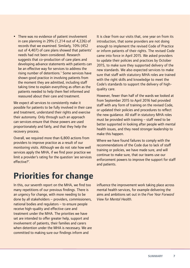• There was no evidence of patient involvement in care planning in 29% (1,214 out of 4,226) of records that we examined. Similarly, 10% (452 out of 4,407) of care plans showed that patients' needs had not been considered. Research suggests that co-production of care plans and developing advance statements with patients can be an effective way for services to address the rising number of detentions.<sup>1</sup> Some services have shown good practice in involving patients from the moment they are admitted, including staff taking time to explain everything as often as the patients needed to help them feel informed and reassured about their care and treatment.

We expect all services to consistently make it possible for patients to be fully involved in their care and treatment, understand their rights and exercise their autonomy. Only through such an approach can services ensure that those powers are used proportionately and fairly, and that they help the recovery process.

Overall, we required more than 6,800 actions from providers to improve practice as a result of our monitoring visits. Although we do not rate how well services apply the MHA, if we find poor practice we limit a provider's rating for the question 'are services effective?'.

It is clear from our visits that, one year on from its introduction, that some providers are not doing enough to implement the revised Code of Practice or inform patients of their rights. The revised Code came into force in April 2015. We asked providers to update their policies and practices by October 2015, to make sure they supported delivery of the new standards. We also expected services to make sure that staff with statutory MHA roles are trained with the right skills and knowledge to meet the Code's standards to support the delivery of highquality care.

However, fewer than half of the wards we looked at from September 2015 to April 2016 had provided staff with any form of training on the revised Code, or updated their policies and procedures to reflect the new guidance. All staff in statutory MHA roles must be provided with training – staff need to be better supported in looking after people with mental health issues, and they need stronger leadership to make this happen.

Where we have found failures to comply with the recommendations of the Code due to lack of staff training or policies, we have made sure, and will continue to make sure, that our teams use our enforcement powers to improve the support for staff and patients.

# **Priorities for change**

In this, our seventh report on the MHA, we find too many repetitions of our previous findings. There is an urgency for change, with more needing to be done by all stakeholders – providers, commissioners, national bodies and regulators – to ensure people receive high-quality and effective care and treatment under the MHA. The priorities we have set are intended to offer greater help, support and involvement of patients, their families and carers when detention under the MHA is necessary. We are committed to making sure our findings inform and

influence the improvement work taking place across mental health services, for example delivering the aims and ambitions set out in the *Five Year Forward View for Mental Health*.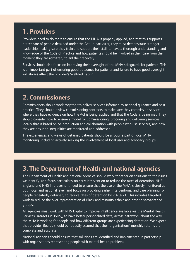### **1. Providers**

Providers need to do more to ensure that the MHA is properly applied, and that this supports better care of people detained under the Act. In particular, they must demonstrate stronger leadership, making sure they train and support their staff to have a thorough understanding and knowledge of the Code of Practice and how patients should be involved in their care from the moment they are admitted, to aid their recovery.

Services should also focus on improving their oversight of the MHA safeguards for patients. This is an important part of ensuring good outcomes for patients and failure to have good oversight will always affect the provider's 'well-led' rating.

### **2. Commissioners**

Commissioners should work together to deliver services informed by national guidance and best practice. They should review commissioning contracts to make sure they commission services where they have evidence on how the Act is being applied and that the Code is being met. They should consider how to ensure a model for commissioning, procuring and delivering services locally that is based on co-production and collaboration with people who use services, and how they are ensuring inequalities are monitored and addressed.

The experiences and views of detained patients should be a routine part of local MHA monitoring, including actively seeking the involvement of local user and advocacy groups.

### **3. The Department of Health and national agencies**

The Department of Health and national agencies should work together on solutions to the issues we identify, and focus particularly on early intervention to reduce the rates of detention. NHS England and NHS Improvement need to ensure that the use of the MHA is closely monitored at both local and national level, and focus on providing earlier interventions, and care planning for people repeatedly detained, to reduce rates of detention by 2020/21. This includes targeted work to reduce the over-representation of Black and minority ethnic and other disadvantaged groups.

All agencies must work with NHS Digital to improve intelligence available via the Mental Health Services Dataset (MHSDS), to have better personalised data, across pathways, about the way the MHA is working for people and how different groups are experiencing detention. We expect that provider Boards should be robustly assured that their organisations' monthly returns are complete and accurate.

National agencies should ensure that solutions are identified and implemented in partnership with organisations representing people with mental health problems.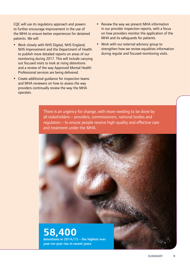CQC will use its regulatory approach and powers to further encourage improvement in the use of the MHA to ensure better experiences for detained patients. We will:

- Work closely with NHS Digital, NHS England, NHS Improvement and the Department of Health to publish more detailed reports on areas of our monitoring during 2017. This will include carrying out focused visits to look at rising detentions and a review of the way Approved Mental Health Professional services are being delivered.
- Create additional guidance for inspection teams and MHA reviewers on how to assess the way providers continually review the way the MHA operates.
- Review the way we present MHA information in our provider inspection reports, with a focus on how providers monitor the application of the MHA and its safeguards for patients.
- Work with our external advisory group to strengthen how we review equalities information during regular and focused monitoring visits.

There is an urgency for change, with more needing to be done by all stakeholders – providers, commissioners, national bodies and regulators – to ensure people receive high-quality and effective care and treatment under the MHA.

### **58,400**  detentions in 2014/15 – the highest ever year-on-year rise in recent years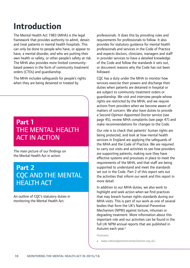# **Introduction**

The Mental Health Act 1983 (MHA) is the legal framework that provides authority to admit, detain and treat patients in mental health hospitals. This can only be done to people who have, or appear to have, a mental disorder, and who are putting their own health or safety, or other people's safety at risk. The MHA also provides more limited communitybased powers in the form of community treatment orders (CTOs) and guardianship.

The MHA includes safeguards for people's rights when they are being detained or treated by

### **Part 1**  THE MENTAL HEALTH ACT IN ACTION

The main picture of our findings on the Mental Health Act in action.

### **Part 2**  CQC AND THE MENTAL HEALTH ACT

An outline of CQC's statutory duties in monitoring the Mental Health Act.

professionals. It does this by providing rules and requirements for professionals to follow. It also provides for statutory guidance for mental health professionals and services in the Code of Practice and expects doctors, clinicians, managers and staff in provider services to have a detailed knowledge of the Code and follow the standards it sets out, or document reasons why the Code has not been followed.

CQC has a duty under the MHA to monitor how services exercise their powers and discharge their duties when patients are detained in hospital or are subject to community treatment orders or guardianship. We visit and interview people whose rights are restricted by the MHA, and we require actions from providers when we become aware of matters of concern. We also have duties to provide a Second Opinion Appointed Doctor service (see page 45), review MHA complaints (see page 47) and make recommendations for changes to the Code.

Our role is to check that patients' human rights are being protected, and look at how mental health services in England are applying the safeguards of the MHA and the Code of Practice. We are required to carry out visits and activities to see how providers are supporting patients, making sure they have effective systems and processes in place to meet the requirements of the MHA, and that staff are being supported to understand and meet the standards set out in the Code. Part 2 of this report sets out the activities that inform our work and this report in more detail.

In addition to our MHA duties, we also work to highlight and seek action when we find practices that may breach human rights standards during our MHA visits. This is part of our work as one of several bodies that form the UK's National Preventive Mechanism (NPM) against torture, inhuman or degrading treatment. More information about this important role and our activities can be found in the full UK NPM annual reports that are published in Autumn each year.<sup>a</sup>

Footnote:

a www.nationalpreventivemechanism.org.uk/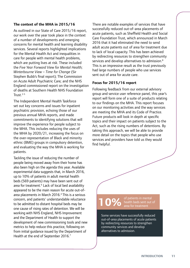#### **The context of the MHA in 2015/16**

As outlined in our State of Care 2015/16 report, our work over the year took place in the context of a number of developments and emerging concerns for mental health and learning disability services. Several reports highlighted implications for the Mental Health Act and inequalities in care for people with mental health problems, which are putting lives at risk. These included the *Five Year Forward View for Mental Health; Winterbourne View – Time for Change* (Sir Stephen Bubb's final report); The Commission on Acute Adult Psychiatric Care; and the NHS England commissioned report on the investigation of deaths at Southern Health NHS Foundation Trust $2-5$ 

The Independent Mental Health Taskforce set out key concerns and issues for inpatient psychiatric provision, echoing those of our previous annual MHA reports, and made commitments to identifying solutions that will improve the experience for people subject to the MHA. This includes reducing the uses of the MHA by 2020/21, increasing the focus on the over-representation of Black and minority ethnic (BME) groups in compulsory detention, and evaluating the way the MHA is working for patients.

Tackling the issue of reducing the number of people being moved away from their home has also been high on the agenda this year. Available experimental data suggests that, in March 2016, up to 10% of patients in adult mental health beds (569 patients) may have been sent out of area for treatment.<sup>6</sup> Lack of local bed availability appeared to be the main reason for acute out-ofarea placements in March 2016.<sup>4</sup> This is a serious concern, and patients' understandable reluctance to be admitted to distant hospital beds may be one cause of rising rates of detention. We will be working with NHS England, NHS Improvement and the Department of Health to support the development of new commissioning tools and new metrics to help reduce this practice, following on from initial guidance issued by the Department of Health at the end of September 2016.<sup>7</sup>

There are notable examples of services that have successfully reduced out-of-area placements of acute patients, such as Sheffield Health and Social Care Foundation Trust, which announced in March 2016 that it had eliminated the need to send adult acute patients out of area for treatment due to lack of local capacity. This has been achieved by redirecting resources to strengthen community services and develop alternatives to admission.<sup>8</sup> This is an impressive result as the trust previously had large numbers of people who use services sent out of area for acute care.

#### **Focus for 2015/16 report**

Following feedback from our external advisory group and service user reference panel, this year's report will form one of a suite of products relating to our findings on the MHA. This report focuses on our monitoring activities and the way services are meeting the MHA and its Code of Practice. Future products will look in depth at specific topics and their impact on patients subject to the Act, such as the rising numbers of detentions. By taking this approach, we will be able to provide more detail on the topics that people who use services and providers have told us they would find helpful.

**10% of patients in mental**<br>area for treatment health beds sent out of area for treatment

Some services have successfully reduced out-of-area placements of acute patients by redirecting resources to strengthen community services and develop alternatives to admission.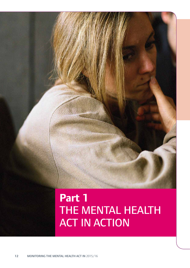

# THE MENTAL HEALTH ACT IN ACTION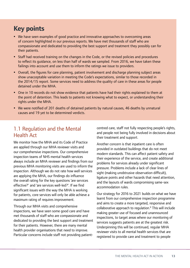### **Key points**

- We have seen examples of good practice and innovative approaches to overcoming areas of concern highlighted in our previous reports. We have met thousands of staff who are compassionate and dedicated to providing the best support and treatment they possibly can for their patients.
- Staff had received training on the changes in the Code, or the revised policies and procedures to reflect its guidance, on less than half of wards we sampled. From 2016, we have taken these failings into account and use them to inform the ratings we issue to providers.
- Overall, the figures for care planning, patient involvement and discharge planning subject areas show unacceptable variation in meeting the Code's expectations, similar to those recorded in the 2014/15 report. Some services need to address the quality of care in these areas for people detained under the MHA.
- One in 10 records do not show evidence that patients have had their rights explained to them at the point of detention. This leads to patients not knowing what to expect, or understanding their rights under the MHA.
- We were notified of 201 deaths of detained patients by natural causes, 46 deaths by unnatural causes and 19 yet to be determined verdicts.

### 1.1 Regulation and the Mental Health Act

We monitor how the MHA and its Code of Practice are applied through our MHA reviewer visits and our comprehensive inspections. Our comprehensive inspection teams of NHS mental health services always include an MHA reviewer and findings from our previous MHA monitoring visits are used to inform the inspection. Although we do not rate how well services are applying the MHA, our findings do influence the overall rating for the key questions 'are services effective?' and 'are services well-led?'. If we find significant issues with the way the MHA is working for patients, core services will only be able achieve a maximum rating of requires improvement.

Through our MHA visits and comprehensive inspections, we have seen some good care and have met thousands of staff who are compassionate and dedicated to providing the best support and treatment for their patients. However, there are many mental health provider organisations that need to improve. Particular concerns include staff not providing patientcentred care, staff not fully respecting people's rights, and people not being fully involved in decisions about their treatment and support.

Another concern is that inpatient care is often provided in outdated buildings that do not meet modern standards. This can affect patient safety and their experience of the service, and create additional problems for services already under significant pressure. Problems include a lack of clear lines of sight (making unobtrusive observation difficult), ligature points and other hazards that need attention, and the layouts of wards compromising same-sex accommodation rules.

Our strategy for 2016 to 2021 builds on what we have learnt from our comprehensive inspection programme and aims to create a more targeted, responsive and collaborative approach to regulation.<sup>9</sup> This will include making greater use of focused and unannounced inspections, to target areas where our monitoring of services suggests patients are at the greatest risk. Underpinning this will be continued, regular MHA reviewer visits to all mental health services that are registered to provide care and treatment to people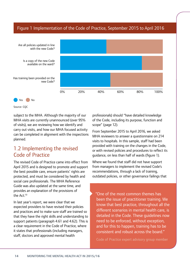#### Figure 1 Implementation of the Code of Practice, September 2015 to April 2016



Source: CQC

subject to the MHA. Although the majority of our MHA visits are currently unannounced (over 95% of visits), we are reviewing how we identify and carry out visits, and how our MHA focused activity can be completed in alignment with the inspections planned.

### 1.2 Implementing the revised Code of Practice

The revised Code of Practice came into effect from April 2015 and is designed to promote and support the best possible care, ensure patients' rights are protected, and must be considered by health and social care professionals. The MHA Reference Guide was also updated at the same time, and provides an explanation of the provisions of the Act.10

In last year's report, we were clear that we expected providers to have revised their policies and practices and to make sure staff are trained so that they have the right skills and understanding to support patients (paragraph 4.61 and 4.62). This is a clear requirement in the Code of Practice, where it states that professionals (including managers, staff, doctors and approved mental health

professionals) should "have detailed knowledge of the Code, including its purpose, function and scope" (page 12).

From September 2015 to April 2016, we asked MHA reviewers to answer a questionnaire on 214 visits to hospitals. In this sample, staff had been provided with training on the changes in the Code, or with revised policies and procedures to reflect its guidance, on less than half of wards (figure 1).

Where we found that staff did not have support from managers to implement the revised Code's recommendations, through a lack of training, outdated policies, or other governance failings that

"One of the most common themes has been the issue of practitioner training. We know that best practice, throughout all the different scenarios in mental health care, is detailed in the Code. These guidelines now need to be enforced, without exception, and for this to happen, training has to be consistent and robust across the board."

Code of Practice expert advisory group member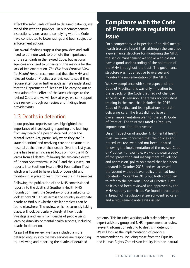affect the safeguards offered to detained patients, we raised this with the provider. On our comprehensive inspections, issues around complying with the Code have contributed to lower ratings and been subject to enforcement actions.

Our overall findings suggest that providers and staff need to do more work to promote the importance of the standards in the revised Code, but national agencies also need to understand the reasons for the lack of implementation. *The Five Year Forward View for Mental Health* recommended that the MHA and relevant Code of Practice are reviewed to see if they require attention or further updates.<sup>2</sup> We understand that the Department of Health will be carrying out an evaluation of the effect of the latest changes to the revised Code, and we will look at ways we can support their review through our review and findings from provider visits.

### 1.3 Deaths in detention

In our previous reports we have highlighted the importance of investigating, reporting and learning from any death of a person detained under the Mental Health Act, particularly when they are 'in state detention' and receiving care and treatment in hospital at the time of their death. Over the last year, there has been an increased focus on how the NHS learns from all deaths, following the avoidable death of Connor Sparrowhawk in 2013 and the subsequent reports into Southern Health NHS Foundation Trust which was found to have a lack of oversight and monitoring in place to learn from deaths in its services.

Following the publication of the NHS commissioned report into the deaths at Southern Health NHS Foundation Trust, the Secretary of State asked us to look at how NHS trusts across the country investigate deaths to find out whether similar problems can be found elsewhere. The review, which is currently taking place, will look particularly closely at how trusts investigate and learn from deaths of people using learning disability or mental health services, including deaths in detention.

As part of this review, we have included a more detailed enquiry into the way services are responding to, reviewing and reporting the deaths of detained

### **Compliance with the Code of Practice as a regulation issue**

On a comprehensive inspection of an NHS mental health trust we found that, although the trust had a governance structure for monitoring the MHA, the senior management we spoke with did not have a good understanding of the operation of the MHA throughout the trust. The governance structure was not effective to oversee and monitor the implementation of the MHA.

We saw compliance with some aspects of the Code of Practice; this was only in relation to the aspects of the Code that had not changed since its 2015 revision. There was no consistent training in the trust that included the 2015 Code of Practice and its implications for staff delivering care. The trust did not have an overall implementation plan for the 2015 Code of Practice. The trust was rated as 'requires improvement' for effectiveness.

On an inspection of another NHS mental health trust, we were concerned that the policies and procedures reviewed had not been updated following the implementation of the revised Code of Practice. For example, we were shown a copy of the 'prevention and management of violence and aggression' policy on a ward that had been updated in October 2015, and we accessed the 'absent without leave' policy that had been updated in November 2015 but both continued to refer to the previous Code of Practice. Both policies had been reviewed and approved by the MHA scrutiny committee. We found a trust to be in breach of Regulation 9 (person-centred care) and a requirement notice was issued.

patients. This includes working with stakeholders, our expert advisory group and NHS Improvement to review relevant information relating to deaths in detention. We will look at the implementation of previous recommendations, including those from the Equality and Human Rights Commission inquiry into non-natural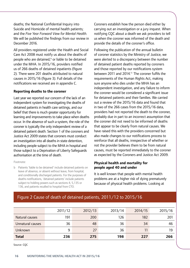deaths; the National Confidential Inquiry into Suicide and Homicide of mental health patients; and the *Five Year Forward View for Mental Health*. We will be published the findings from our review in December 2016.

All providers registered under the Health and Social Care Act 2008 must notify us about the deaths of people who are detained,<sup>b</sup> or liable to be detained under the MHA. In 2015/16, providers notified us of 266 deaths of detained inpatients (figure 2). There were 201 deaths attributed to natural causes in 2015/16 (figure 3). Full details of the notifications we received are in appendix C.

#### **Reporting deaths to the coroner**

Last year we reported our concern of the lack of an independent system for investigating the deaths of detained patients in health care settings, and our belief that there is much greater opportunity for learning and improvements to take place when deaths occur. In the absence of such a system, the role of the coroner is typically the only independent review of a detained patient death. Section 1 of the coroners and Justice Act 2009 states that coroners must conduct an investigation into all deaths in state detention, including people subject to the MHA in hospital and those subject to a Deprivation of Liberty Safeguards authorisation at the time of death.

Footnote:

b Patients 'liable to be detained' include detained patients on leave of absence, or absent without leave, from hospital, and conditionally discharged patients. For the purposes of deaths notifications, 'detained patients' include patients subject to holding powers such as sections 4, 5,135 or 136, and patients recalled to hospital from CTO.

Coroners establish how the person died either by carrying out an investigation or a jury inquest. When notifying CQC about a death we ask providers to tell us when the coroner was informed of the death and provide the details of the coroner's office.

Following the publication of the annual bulletin of coroner statistics by the Ministry of Justice, we were alerted to a discrepancy between the number of detained patient deaths reported by coroners and those reported by our notifications system between 2011 and 2014.<sup>11</sup> The coroner fulfils the requirements of the Human Rights Act, making sure anyone who dies under the MHA has an independent investigation, and any failure to inform the coroner would be considered a significant issue for detained patients and their families. We carried out a review of the 2015/16 data and found that in two of the 266 cases from the 2015/16 data, providers had not reported the death to the coroner, probably due in part to an incorrect assumption that the coroner did not need to be informed of deaths that appear to be clearly from natural causes. We have raised this with the providers concerned but also made changes to our notifications process to reinforce that all deaths, irrespective of whether or not the provider believes them to be from natural causes, must be reported immediately to the coroner as expected by the Coroners and Justice Act 2009.

#### **Physical health and mortality for people aged 40 and under**

It is well known that people with mental health problems are at a higher risk of dying prematurely because of physical health problems. Looking at

### Figure 2 Cause of death of detained patients, 2011/12 to 2015/16

|                  | 2011/12 | 2012/13 | 2013/14 | 2014/15 | 2015/16 |
|------------------|---------|---------|---------|---------|---------|
| Natural causes   | 191     | 200     | 126     | 182     | 201     |
| Unnatural causes | 36      | 48      | 36      | 34      | 46      |
| Unknown          | 9       | 27      | 36      | 11      | 19      |
| <b>Total</b>     | 236     | 275     | 198     | 227     | 266     |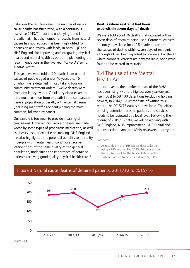data over the last five years, the number of natural cause deaths has fluctuated, with a continuous rise since 2013/14, but the underlying trend is broadly flat. That the number of deaths from natural causes has not reduced has been highlighted for discussion and review with leads, in both CQC and NHS England, for improving and integrating physical health and mental health as part of implementing the recommendations in the *Five Year Forward View for Mental Health*.

This year, we were told of 20 deaths from natural causes of people aged under 40 years old, 16 of whom were detained in hospital and four on community treatment orders. Twelve deaths were from circulatory events. Circulatory diseases are the third most common form of death in the comparable general population under 40, with external causes (including road traffic accidents) being the most common, followed by cancer.

Our sample is too small to provide meaningful conclusions. However, circulatory diseases are made worse by some types of psychiatric medication, as well as obesity, lack of exercise or smoking. NHS England has also highlighted the potential benefits to mortality if people with mental health conditions receive interventions of the same quality as the general population, underlining the importance of detained patients receiving good quality physical health care.12

#### **Deaths where restraint had been used within seven days of death**

We were told about 16 deaths that occurred within seven days of restraint being used. Coroners' verdicts are not yet available for all 16 deaths to confirm the causes of deaths within seven days of restraint, although all had been reported to coroners. For the 13 where coroners' verdicts are now available, none were found to be related to restraint.

### 1.4 The use of the Mental Health Act

In recent years, the number of uses of the MHA has been rising, with the highest ever year-on-year rise (10%) to 58,400 detentions (excluding holding powers) in 2014/15. At the time of writing this report, the 2015/16 data is not available. The effect of rising detention rates on patients and services needs to be reviewed at a local level. Following the release of 2015/16 data, we will be working with NHS England, NHS Improvement, NHS Digital and our inspection teams and MHA reviewers to carry out

Footnote:

c As recorded in the NHS Digital data collection using KP90 returns. The 2015/16 dataset from these returns will be the final collation, as the system is retired to be replaced with MHSDS.



#### Figure 3 Natural cause deaths of detained patients, 2011/12 to 2015/16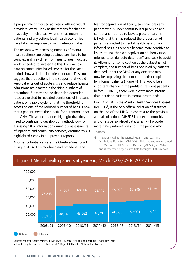a programme of focused activities with individual providers. We will look at the reasons for changes in activity in their areas, what this has meant for patients and any actions local health economies have taken in response to rising detention rates.

The reasons why increasing numbers of mental health patients are being detained are likely to be complex and may differ from area to area. Focused work is needed to investigate this. For example, data on community-based services for the same period show a decline in patient contact. This could suggest that reductions in the support that would keep patients out of acute crisis and reduce hospital admissions are a factor in the rising numbers of detentions.13 It may also be that rising detention rates are related to repeated admissions of the same patient on a rapid cycle, or that the threshold for accessing one of the reduced number of beds is now that a patient meets the criteria for detention under the MHA. These uncertainties highlight that they need to continue to develop our methodology for assessing MHA information during our assessments of inpatient and community services, ensuring this is highlighted clearly in our provider reports.

Another potential cause is the Cheshire West court ruling in 2014. This redefined and broadened the

test for deprivation of liberty, to encompass any patient who is under continuous supervision and control and not free to leave a place of care. It is likely that this has reduced the proportion of patients admitted to mental health beds on an informal basis, as services become more sensitive to issues of unauthorised deprivation of liberty (also referred to as 'de facto detention') and seek to avoid it. Allowing for some caution as the dataset is not complete, the number of beds occupied by patients detained under the MHA at any one time may now be surpassing the number of beds occupied by informal patients (figure 4). This would be an important change in the profile of resident patients: before 2014/15, there were always more informal than detained patients in mental health beds.

From April 2016 the Mental Health Services Dataset (MHSDS<sup>d</sup>) is the only official collation of statistics on the use of the MHA. In contrast to the previous annual collections, MHSDS is collected monthly and offers person-level data, which will provide more timely information about the people who

Footnote:

d Previously called the Mental Health and Learning Disabilities Data Set (MHLDDS). This dataset was renamed the Mental Health Services Dataset (MHSDS) in 2016 and is referred to by its new title throughout this report.



#### Figure 4 Mental health patients at year end, March 2008/09 to 2014/15

Source: Mental Health Minimum Data Set / Mental Health and Learning Disabilities Data set and Hospital Episode Statistics, NHS Digital; Office for National Statistics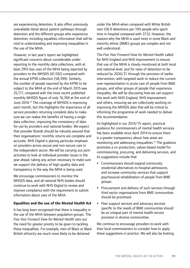are experiencing detention. It also offers previously unavailable detail about patient pathways through detention and the different groups who experience detention, including equalities information that will be vital to understanding and improving inequalities in the use of the MHA.

However, in last year's report we highlighted significant concerns about considerable underreporting to the monthly data collections, with at least 29% less uses of the MHA being reported by providers to the MHSDS (41,592) compared with the annual KP90 collection (58,399). Similarly, the number of people reported by the KP90 to be subject to the MHA at the end of March 2015 was 25,117, compared with the most recent published monthly MHSDS figure of only 16,769 at the end of June 2016.14 The coverage of MHSDS is improving each month, but this highlights the importance of all service providers returning complete data to make sure we can realise the benefits of having a single data collection, improving the consistency of data for use by providers and national bodies. We expect that provider Boards should be robustly assured that their organisations' monthly returns are complete and accurate. NHS Digital is placing particular emphasis on providers across secure and non-secure care in the independent sector. We will be carrying out joint activities to look at individual provider issues in the year ahead, taking any action necessary to make sure we support the delivery of high-quality data and transparency in the way the MHA is being used.

We encourage commissioners to monitor the MHSDS data, and all national NHS bodies should continue to work with NHS Digital to review and improve compliance with the requirement to submit information about uses of the MHA.

#### **Equalities and the use of the Mental Health Act**

It has long been recognised that there is inequality in the use of the MHA between population groups. The *Five Year Forward View for Mental Health* sets out the need for greater priority to be given to tackling these inequalities. For example, men of Black or Black British ethnicity are much more likely to be detained

under the MHA when compared with White British men (56.9 detentions per 100 people who spent time in hospital compared with 37.5). However, the reasons why the MHA is used more in some Black and minority ethnic (BME) groups are complex and not well understood.

The *Five Year Forward View for Mental Health* called for NHS England and NHS Improvement to ensure that use of the MHA is closely monitored at both local and national level, and for rates of detention to be reduced by 2020/21 through the provision of earlier intervention, with targeted work to reduce the current over-representation in acute care of people from BME groups, and other groups of people that experience inequality. We will be discussing how we can support this work with NHS England, NHS Improvement and others, ensuring we are collectively working on improving the MHSDS data that will be critical to informing the programme of work needed to deliver this recommendation.

As highlighted in our 2014/15 report, practical guidance for commissioners of mental health services has been available since April 2014 to ensure there is a greater transparency about how areas are monitoring and addressing inequalities.<sup>15</sup> The quidance promotes a co-production, values-based model for commissioning, procuring, and delivering services, and its suggestions include that:

- Commissioners should expand community residential alternatives to hospital admissions, and increase community services that support psychosocial rehabilitation of people from BME groups.
- Procurement and delivery of such services through third sector organisations from BME communities should be prioritised.
- Peer support services and advocacy services specific to the needs of BME communities should be an integral part of mental health service provision in diverse communities.

We continue to encourage providers to work with their local commissioners to consider how to apply these suggestions in practice. We will also be looking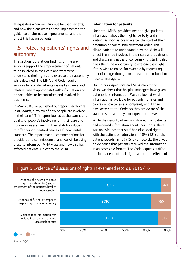at equalities when we carry out focused reviews, and how the areas we visit have implemented the guidance or alternative improvements, and the effect this has on patients.

### 1.5 Protecting patients' rights and autonomy

This section looks at our findings on the way services support the empowerment of patients to be involved in their care and treatment, understand their rights and exercise their autonomy while detained. The MHA and Code require services to provide patients (as well as carers and relatives where appropriate) with information and opportunities to be consulted and involved in treatment.

In May 2016, we published our report *Better care in my hands*, a review of how people are involved in their care.<sup>16</sup> This report looked at the extent and quality of people's involvement in their care and how services are meeting their statutory duties to offer person-centred care as a fundamental standard. The report made recommendations for providers and commissioners, and we will be using these to inform our MHA visits and how this has affected patients subject to the MHA.

#### **Information for patients**

Under the MHA, providers need to give patients information about their rights, verbally and in writing, as soon as possible after the start of their detention or community treatment order. This allows patients to understand how the MHA will affect them, be involved in their care and treatment and discuss any issues or concerns with staff. It also gives them the opportunity to exercise their rights if they wish to do so, for example by requesting their discharge through an appeal to the tribunal or hospital managers.

During our inspections and MHA monitoring visits, we check that hospital managers have given patients this information. We also look at what information is available for patients, families and carers on how to raise a complaint, and if they have access to the Code, so they are aware of the standards of care they can expect to receive.

While the majority of records showed that patients had received information about their rights, there was no evidence that staff had discussed rights with the patient on admission in 10% (421) of the patient records. In 12% (512) of records, there was no evidence that patients received the information in an accessible format. The Code requires staff to remind patients of their rights and of the effects of

### Figure 5 Evidence of discussions of rights in examined records, 2015/16

421 750 512 3,907 3,397 3,753 Evidence of discussions about rights (on detention) and an assessment of the patient's level of understanding Evidence of further attempts to explain rights where necessary Evidence that information was provided in an appropriate and accessible format 0% 20% 40% 60% 80% 100%

Yes No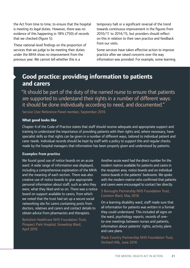the Act from time to time, to ensure that the hospital is meeting its legal duties. However, there was no evidence of this happening in 18% (750) of records that we checked (figure 5).

These national-level findings on the proportion of services that we judge to be meeting their duties under the MHA show no improvement from the previous year. We cannot tell whether this is a

temporary halt or a significant reversal of the trend towards continuous improvement in the figures from 2010/11 to 2014/15, but providers should reflect on this in relation to their own practice and feedback from our visits.

Some services have taken effective action to improve practice after we raised concerns over the way information was provided. For example, some learning

### **Good practice: providing information to patients and carers**

"It should be part of the duty of the named nurse to ensure that patients are supported to understand their rights in a number of different ways: it should be done individually according to need, and documented."

Service User Reference Panel member, September 2016

#### **What good looks like**

Chapter 4 of the Code of Practice states that staff should receive adequate and appropriate support and training to understand the importance of providing patients with their rights and, where necessary, have specialist skills so that rights can be given in a number of different ways, tailored to individual patient and carer needs. Individual records should be kept by staff with a policy to support this and regular checks made by the hospital managers that information has been properly given and understood by patients.

#### **Examples from practice**

We found good use of notice boards on an acute Another acute ward had the direct number for the ward. A wide range of information was displayed, modern matron available for patients and carers in including a comprehensive explanation of the MHA the reception area, notice boards and on individual and the meaning of each section. There was also anotice boards in the patients' bedrooms. We spoke creative use of notice boards to give appropriate with the modern matron who confirmed that patients personal information about staff, such as who they and carers were encouraged to contact her directly. were, what they liked and so on. There was a notice<br>
5 Boroughs Partnership NHS Foundation Trust,<br>
board on support available to carers, from which<br>
we noted that the trust had set up a secure social<br>
networking site for c networking site for carers containing posts from a learning disability ward, staff made sure that<br>doctors, relatives and carers and contact details to all information for patients was written in a format doctors, relatives and carers and contact details to all information for patients was written in a forma<br>obtain advice from pharmacists and therapists by they could understand. This included all signs on

obtain advice from pharmacists and therapists. They could understand. This included all signs<br>-the ward, psychology reports, records of one Berkshire Healthcare NHS Foundation Trust,<br>Prospect Park Hospital, Snowdrop Ward,<br>April 2016 **Prospect Park Hospital, Snowdrop Ward,**<br>April 2016 **Prospect Park Hospital, Snowdrop Ward,**<br>and care plans.

> Black Country Partnership NHS Foundation Trust, Orchard Hills, June 2016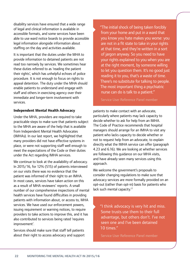disability services have ensured that a wide range of legal and clinical information is available in accessible formats, and some services have been able to use ward notice boards to provide accessible legal information alongside information about staffing on the day and activities available.

It is important that the duties under the MHA to provide information to detained patients are not read too narrowly by services. We sometimes hear these duties referred to as 'reading the patient their rights', which has unhelpful echoes of police procedure. It is not enough to focus on rights to appeal detention. The duty under the MHA should enable patients to understand and engage with staff and others in exercising agency over their immediate and longer-term involvement with services.

#### **Independent Mental Health Advocacy**

Under the MHA, providers are required to take practicable steps to make sure that patients subject to the MHA are aware of the help that is available from Independent Mental Health Advocates (IMHAs). In our last report, we highlighted that many providers did not have effective systems in place, or were not supporting staff well enough to meet the expectations of the Code or their duties under the Act regarding IMHA services.

We continue to look at the availability of advocacy. In 2015/16, for 12% (515) of patients interviewed on our visits there was no evidence that the patient was informed of their right to an IMHA. In most cases, services have taken action on this as a result of MHA reviewers' reports. A small number of our comprehensive inspections of mental health services have found difficulties in providing patients with information about, or access to, MHA services. We have used our enforcement powers, issuing requirement or warning notices, to require providers to take actions to improve this, and it has also contributed to services being rated 'requires improvement'.

Services should make sure that staff tell patients about their right to access advocacy and support "The initial shock of being taken forcibly from your home and put in a ward that you know you hate makes you worse: you are not in a fit state to take in your rights at that time, and they're written in a sort of jargon anyway. So you need to have your rights explained to you when you are at the right moment, by someone willing to let you question them. It's no good just reading it to you, that's a waste of time. There's no substitute for talking to people. The most important thing a psychiatric nurse can do is talk to a patient."

Service User Reference Panel member

patients to make contact with an advocate, particularly where patients may lack capacity to decide whether to ask for help from an IMHA. The Code of Practice recommends that hospital managers should arrange for an IMHA to visit any patient who lacks capacity to decide whether or not to request help from an advocate, to explain directly what the IMHA service can offer (paragraph 4.23 and 6.16). We are looking at whether services are following this guidance on our MHA visits, and have already seen many services using this approach.

We welcome the government's proposals to consider changing regulations to make sure that advocacy services are more formally provided on an opt-out (rather than opt-in) basis for patients who lack such mental capacity.<sup>17</sup>

"I think advocacy is very hit and miss. Some trusts use them to their full advantage, but others don't. I've not seen one and I've been detained 10 times."

Service User Reference Panel member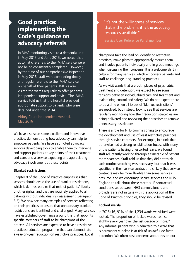### **Good practice: implementing the Code's guidance on advocacy referrals**

In MHA monitoring visits to a dementia unit in May 2015 and June 2015, we noted that automatic referrals to the IMHA service were not being consistently completed. However, by the time of our comprehensive inspection in May 2016, staff were completing timely and regular referrals to the IMHA service on behalf of their patients. IMHAs also visited the wards regularly to offer patients independent support and advice. The IMHA service told us that the hospital provided appropriate support to patients who were detained under the MHA.

Abbey Court Independent Hospital, May 2016

We have also seen some excellent and innovative practice, demonstrating how advocacy can help to empower patients. We have also noted advocacy services developing tools to enable them to intervene and support patients at key points of their treatment and care, and a service expecting and appreciating advocacy involvement at these points.

#### **Blanket restrictions**

Chapter 8 of the Code of Practice emphasises that services should avoid the use of blanket restrictions, which it defines as rules that restrict patients' liberty or other rights, and that are routinely applied to all patients without individual risk assessment (paragraph 8.5). We now see many examples of services reflecting on their practices to ensure that unnecessary blanket restrictions are identified and challenged. Many services have established governance around this that appoints specific members of staff to be champions of the process. All services are expected to have a restrictive practices reduction programme that can demonstrate a year-on-year reduction on restrictive practices. Local

"It's not the willingness of services that is the problem, it is the advocacy resources available."

Service User Reference Panel member

champions take the lead on identifying restrictive practices, make plans to appropriately reduce them, and involve patients individually and in group meetings when discussing their concerns. It is a welcome shift in culture for many services, which empowers patients and staff to challenge long-standing practices.

As we visit wards that are both places of psychiatric treatment and detention, we expect to see some tensions between individualised care and treatment and maintaining control and safety. We do not expect there to be a time when all issues of 'blanket restrictions' are resolved, but instead, look to see that services are regularly monitoring how their reduction strategies are being delivered and reviewing their practices to remove unnecessary restrictions.

There is a role for NHS commissioning to encourage the development and use of least restrictive practices through service contracts. For example, in a unit that otherwise had a strong rehabilitation focus, with many of the patients having unescorted leave, we found staff reluctantly working through a timetable of patient room searches. Staff told us that they did not think such routine searching was necessary, but that it was specified in their service contract. It is likely that service contracts may be more flexible than some services presume, and we encourage secure services and NHS England to talk about these matters. If contractual conditions set between NHS commissioners and providers are not in tune with the application of the Code of Practice principles, they should be revised.

#### **Locked wards**

In 2015/16, 91% of the 1,234 wards we visited were locked. The proportion of locked wards has risen slightly every year over the last decade or more.<sup>18</sup> Any informal patient who is admitted to a ward that is permanently locked is at risk of unlawful de facto detention. We often raise concerns about this on our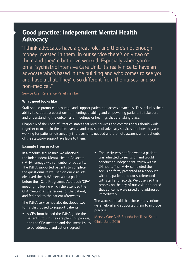### **Good practice: Independent Mental Health Advocacy**

"I think advocates have a great role, and there's not enough money invested in them. In our service there's only two of them and they're both overworked. Especially when you're on a Psychiatric Intensive Care Unit, it's really nice to have an advocate who's based in the building and who comes to see you and have a chat. They're so different from the nurses, and so non-medical."

#### Service User Reference Panel member

#### **What good looks like**

Staff should promote, encourage and support patients to access advocates. This includes their ability to support preparations for meeting, enabling and empowering patients to take part and understanding the outcomes of meetings or hearings that are taking place.

Chapter 6 of the Code of Practice states that local services and commissioners should work together to maintain the effectiveness and provision of advocacy services and how they are working for patients, discuss any improvements needed and promote awareness for patients of the statutory support available to them.

#### **Example from practice**

In a medium secure unit, we observed the Independent Mental Health Advocate (IMHA) engage with a number of patients. The IMHA supported patients to complete the questionnaire we used on our visit. We observed the IMHA meet with a patient before their Care Programme Approach (CPA) meeting, following which she attended the CPA meeting at the request of the patient, and fed back to the patient afterwards.

The IMHA service had also developed two forms that it used to support patients:

- A CPA form helped the IMHA guide the patient through the care planning process, and the CPA meeting and document issues to be addressed and actions agreed.
- The IMHA was notified when a patient was admitted to seclusion and would conduct an independent review within 24 hours. The IMHA completed the seclusion form, presented as a checklist, with the patient and cross-referenced with staff and records. We observed this process on the day of our visit, and noted that concerns were raised and addressed immediately.

The ward staff said that these interventions were helpful and supported them to improve practice.

Mersey Care NHS Foundation Trust, Scott Clinic, June 2016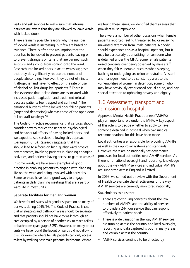visits and ask services to make sure that informal patients are aware that they are allowed to leave wards with locked doors.

There are many possible reasons why the number of locked wards is increasing, but few are based on evidence. There is often the assumption that the door has to be locked to prevent patients leaving or to prevent strangers or items that are banned, such as drugs and alcohol from coming onto the ward. Research into locked doors in acute wards suggests that they do significantly reduce the number of people absconding. However, they do not eliminate it altogether and have no effect on the rate of use of alcohol or illicit drugs by inpatients.<sup>19</sup> There is also evidence that locked doors are associated with increased patient agitation and treatment refusal, because patients feel trapped and confined: "The emotional burdens of the locked door fall on patients (anger and depression) whereas those of the open door fall on staff (anxiety)."<sup>20</sup>

The Code of Practice recommends that services should consider how to reduce the negative psychological and behavioural effects of having locked doors, and we expect to see services following this approach (paragraph 8.15). Research suggests that this should lead to a focus on high-quality ward physical environments, involving patients in planning engaging activities, and patients having access to garden areas.<sup>20</sup>

In some wards, we have seen examples of good practice in enabling patients to engage with planning life on the ward and being involved with activities. Some services have found good ways to engage patients in daily planning meetings that are a part of ward life in most units.

#### **Separate facilities for men and women**

We have found issues with gender separation on many of our visits during 2015/16. The Code of Practice is clear that all sleeping and bathroom areas should be separate, and that patients should not have to walk through an area occupied by a person of another sex to reach toilets or bathrooms (paragraph 8.25). However, on many of our visits we have found the layout of wards did not allow for this, for example where female patients can only access toilets by walking past male patients' bedrooms. Where

we found these issues, we identified them as areas that providers must improve on.

There were a number of other occasions when female patients reported feeling threatened by, or receiving unwanted attention from, male patients. Nobody should experience this as a hospital inpatient, but it may be particularly traumatising for someone who is detained under the MHA. Some female patients raised concerns over being observed by male staff when they felt vulnerable, such as when sleeping, bathing or undergoing seclusion or restraint. All staff and managers need to be constantly alert to the vulnerabilities of women in detention, some of whom may have previously experienced sexual abuse, and pay special attention to upholding privacy and dignity.

### 1.6 Assessment, transport and admission to hospital

Approved Mental Health Practitioners (AMHPs) play an important role under the MHA. A key aspect of this role is to decide whether to apply to have someone detained in hospital when two medical recommendations for this have been made.

Local authorities are responsible for providing AMHPs, as well as their approval systems and standards. However, there are no nationally set governance processes for local authorities over AMHP services. As there is no national oversight and reporting, knowledge about the way AMHP services and individual AMHPs are supported across England is limited.

In 2016, we carried out a review with the Department of Health to evaluate the effectiveness of the way AMHP services are currently monitored nationally.

Stakeholders told us that:

- There are continuing concerns about the low numbers of AMHPs and the ability of services to provide a 24-hour service that can respond effectively to patient needs.
- There is wide variation in the way AMHP services are running across the country and local oversight, reporting and data captured is poor in many areas and variable across the country.
- AMHP services continue to be affected by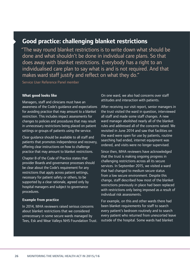### **Good practice: challenging blanket restrictions**

"The way round blanket restrictions is to write down what should be done and what shouldn't be done in individual care plans. So that does away with blanket restrictions. Everybody has a right to an individualised care plan to say what is and is not required. And that makes ward staff justify and reflect on what they do."

Service User Reference Panel member

#### **What good looks like**

Managers, staff and clinicians must have an awareness of the Code's guidance and expectations for avoiding practice that may amount to a blanket restriction. This includes impact assessments for changes to policies and procedures that may result in unnecessary restrictions being placed on patient settings or groups of patients using the service.

Clear guidance should be available to all staff and patients that promotes independence and recovery, offering clear instructions on how to challenge practice that may amount to blanket restrictions.

Chapter 8 of the Code of Practice states that provider Boards and governance processes should be clear about the Code's requirement for any restrictions that apply across patient settings, necessary for patient safety or others, to be supported by a clear rationale, agreed only by hospital managers and subject to governance procedures.

#### **Example from practice**

In 2014, MHA reviewers raised serious concerns about blanket restrictions that we considered unnecessary in some secure wards managed by Tees, Esk and Wear Valleys NHS Foundation Trust. On one ward, we also had concerns over staff attitudes and interaction with patients.

After receiving our visit report, senior managers in the trust visited the ward in question, interviewed all staff and made some staff changes. A new ward manager abolished nearly all of the blanket rules and addressed all of the concerns raised. We revisited in June 2014 and saw that facilities on the ward were open for use by patients, routine searching had ended, internet equipment was ordered, and visits were no longer supervised.

Since then, MHA reviewers have acknowledged that the trust is making ongoing progress in challenging restrictions across all its secure services. In September 2015, we visited a ward that had changed to medium secure status from a low secure environment. Despite this change, staff described how most of the blanket restrictions previously in place had been replaced with restrictions only being imposed as a result of individual risk assessments.

For example, on this and other wards there had been blanket requirements for staff to search every patient's bedroom routinely and to search every patient who returned from unescorted leave outside of the hospital. Some wards had blanket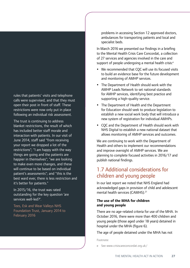rules that patients' visits and telephone calls were supervised, and that they must open their post in front of staff. These restrictions were now only put in place following an individual risk assessment.

The trust is continuing to address blanket restrictions, the result of which has included better staff morale and interaction with patients. In our visit of June 2014, staff said "from receiving your report we dropped a lot of the restrictions"; "I am happy with the way things are going and the patients are happier in themselves"; "we are looking to make even more changes, and these will continue to be based on individual patient's assessments"; and "this is the best ward ever, there is less restriction and it's better for patients."

In 2015/16, the trust was rated outstanding for the key question 'are services well-led?'.

Tees, Esk and Wear Valleys NHS Foundation Trust, January 2014 to February 2016

problems in accessing Section 12 approved doctors, ambulances for transporting patients and local and specialist beds.

In March 2016 we presented our findings in a briefing to the Mental Health Crisis Care Concordat, a collection of 27 services and agencies involved in the care and support of people undergoing a mental health crisis:<sup>e</sup>

- We recommended that CQC will use its focused visits to build an evidence base for the future development and monitoring of AMHP services.
- The Department of Health should work with the AMHP Leads Network to set national standards for AMHP services, identifying best practice and supporting a high-quality service.
- The Department of Health and the Department for Education should seek to produce legislation to establish a new social work body that will introduce a new system of registration for individual AMHPs.
- CQC and the Department of Health should work with NHS Digital to establish a new national dataset that allows monitoring of AMHP services and outcomes.

We are continuing to work with the Department of Health and others to implement our recommendations and improve oversight of AMHP services. We are planning to complete focused activities in 2016/17 and publish national findings.

### 1.7 Additional considerations for children and young people

In our last report we noted that NHS England had acknowledged gaps in provision of child and adolescent mental health services (CAMHS).<sup>21</sup>

#### **The use of the MHA for children and young people**

There are no age-related criteria for use of the MHA. In October 2016, there were more than 400 children and young people (those aged under 18 years) detained in hospital under the MHA (figure 6).

The age of people detained under the MHA has not

Footnote:

e See www.crisiscareconcordat.org.uk/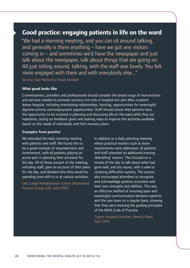### **Good practice: engaging patients in life on the ward**

"We had a morning meeting, and you can sit around talking, and generally is there anything – have we got any visitors coming in – and sometimes we'd have the newspaper and just talk about the newspaper, talk about things that are going on. All just sitting around, talking, with the staff was lovely. You felt more engaged with them and with everybody else..."

Service User Reference Panel member

#### **What good looks like**

Commissioners, providers and professionals should consider the broad range of interventions and services needed to promote recovery not only in hospital but also after a patient leaves hospital, including maintaining relationships, housing, opportunities for meaningful daytime activity and employment opportunities. Staff should ensure that patients have the opportunity to be involved in planning and discussing life on the ward while they are inpatients, acting on feedback given and seeking ways to improve the activities available based on the needs of individuals and their recovery plans.

#### **Examples from practice**

We attended the daily morning meeting In addition to a daily planning meeting with patients and staff. We found this to where practical matters such as leave be a good example of empowerment and requirements were addressed, all patients involvement, with all patients playing an and staff attended an additional evening active part in planning their activities for debriefing' session. This focused on a the day. All of those present at the meeting, review of the day to talk about what had including staff, gave an account of their plans gone well, and any issues, with a view to for the day, and detailed who they would be resolving difficulties quickly. The session spending time with in or at various activities. also encouraged attendees to recognise

Oak Lodge Rehabilitation Centre (Alternative and acknowledge positive outcomes and<br>Futures Group Ltd), June 2016 **an effective method of ensuring open and**<br>an effective method of ensuring open and meaningful communication between patients and the care team on a regular basis, showing that they were meeting the guiding principles of the MHA Code of Practice.

> Cygnet Hospital Beckton, Bewick Ward, April 2016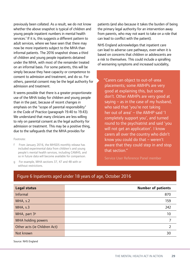previously been collated. As a result, we do not know whether the above snapshot is typical of children and young people inpatient numbers in mental health services.<sup>f</sup> If it is, this suggests a different pattern to adult services, where we have seen that there may now be more inpatients subject to the MHA than informal patients. The 2016 snapshot shows a third of children and young people inpatients detained under the MHA, with most of the remainder treated on an informal basis. For some patients, this will be simply because they have capacity or competence to consent to admission and treatment, and do so. For others, parental consent may be the legal authority for admission and treatment.

It seems possible that there is a greater proportionate use of the MHA today for children and young people than in the past, because of recent changes in emphasis on the "scope of parental responsibility" in the Code of Practice (paragraph 19.40 to 19.43). We understand that many clinicians are less willing to rely on parental consent as the legal authority for admission or treatment. This may be a positive thing, due to the safeguards that the MHA provides for

#### Footnote:

- f From January 2016, the MHSDS monthly release has included experimental data from children's and young people's mental health services, including CAMHS, and so in future data will become available for comparison.
- g For example, MHA sections 37, 47 and 48 with or without restrictions.

patients (and also because it takes the burden of being the primary legal authority for an intervention away from parents, who may not want to take on a role that can lead to conflict with the patient).

NHS England acknowledges that inpatient care can lead to adverse care pathways, even when it is based on concerns that children or adolescents are a risk to themselves. This could include a spiralling of worsening symptoms and increased suicidality,

"Carers can object to out-of-area placements; some AMHPs are very good at explaining this, but some don't. Other AMHPs are very good at saying  $-$  as in the case of my husband, who said that 'you're not taking her out of area' – the AMHP said 'I completely support you', and turned round to the psychiatrist and said 'you will not get an application'. I know carers all over the country who didn't know you could do that – weren't aware that they could step in and stop that section."

Service User Reference Panel member

#### Figure 6 Inpatients aged under 18 years of age, October 2016

| <b>Legal status</b>          | <b>Number of patients</b> |
|------------------------------|---------------------------|
| <b>Informal</b>              | 870                       |
| MHA, s.2                     | 159                       |
| MHA, s.3                     | 242                       |
| MHA, part 3 <sup>9</sup>     | 10                        |
| MHA holding powers           |                           |
| Other acts (ie Children Act) |                           |
| Not known                    | 30                        |

Source: NHS England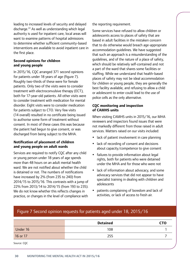leading to increased levels of security and delayed discharge.22 As well as understanding which legal authority is used for inpatient care, local areas will want to examine patterns of hospital admissions to determine whether sufficient community-based interventions are available to avoid inpatient care in the first place.

#### **Second opinions for children and young people**

In 2015/16, CQC arranged 371 second opinions for patients under 18 years of age (figure 7). Roughly two-thirds of these were for female patients. Only two of the visits were to consider treatment with electroconvulsive therapy (ECT), both for 17-year-old patients. All other visits were to consider treatment with medication for mental disorder. Eight visits were to consider medication for patients subject to CTO. Very few visits (14 overall) resulted in no certificate being issued to authorise some form of treatment without consent. In most of these cases this was because the patient had begun to give consent, or was discharged from being subject to the MHA.

#### **Notification of placement of children and young people on adult wards**

Services are required to notify CQC after any child or young person under 18 years of age spends more than 48 hours on an adult mental health ward. We are not notified about whether the child is detained or not. The numbers of notifications have increased by 2% (from 235 to 240) from 2014/15 to 2015/16. This contrasts with a jump of 22% from 2013/14 to 2014/15 (from 193 to 235). We do not know whether this reflects changes in practice, or changes in the level of compliance with

the reporting requirement.

Some services have refused to allow children or adolescents access to places of safety that are based in adult facilities in the mistaken concern that to do otherwise would breach age-appropriate accommodation guidelines. We have suggested that such an approach is a misunderstanding of the guidelines, and of the nature of a place of safety, which should be relatively self-contained and not a part of the ward that shares some facilities or staffing. While we understand that health-based places of safety may not be ideal accommodation for children or young people, they are generally the best facility available, and refusing to allow a child or adolescent to enter could lead to the use of police cells as the only alternative.

#### **CQC monitoring and inspection of CAMHS units**

When visiting CAMHS units in 2015/16, our MHA reviewers and inspectors found issues that were not markedly different from those raised in adult services. Matters raised on our visits included:

- lack of patient involvement in care planning
- lack of recording of consent and decisions about capacity/competence to give consent
- failures to provide information about legal rights, both for patients who were detained under the MHA and for those who were not
- lack of information about advocacy, and some advocacy services that did not appear to have specialist training in dealing with children and adolescents
- patients complaining of boredom and lack of activities, or lack of access to fresh air.

### Figure 7 Second opinion requests for patients aged under 18, 2015/16

|             | <b>Detained</b> | <b>CTO</b> |
|-------------|-----------------|------------|
| Under 16    | 108             |            |
| 16 or 17    | 255             |            |
| Source: CQC |                 |            |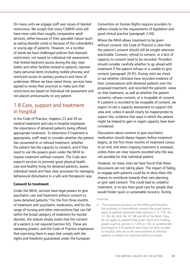On many units we engage staff over issues of blanket restrictions. We accept that many CAMHS units will have more rules than roughly comparative adult services, either because of their specialist nature (such as eating disorder units) or because of the vulnerability or young age of patients. However, on a number of wards we have challenged policies that imposed restrictions, not based on individual risk assessment, that limited bedroom access during the day; kept toilets and other facilities locked to patients; banned many personal items (including mobile phones); and restricted access to sanitary products and items of underwear. Where we have raised these, services have agreed to revise their practices to make sure that restrictions are based on individual risk assessment and not placed unnecessarily on any patient.

### 1.8 Care, support and treatment in hospital

In the Code of Practice, chapters 23 and 24 on medical treatment and care in hospital emphasise the importance of detained patients being offered appropriate treatment. To determine if treatment is appropriate, staff need to consider whether the patient has consented to or refused treatment, whether the patient has the capacity to consent, and if they need to use the powers given under the MHA to impose treatment without consent. The Code also expects services to promote good physical health care and healthy living for detained patients, assess individual needs and have clear processes for managing behavioural disturbance in a safe and therapeutic way.

#### **Consent to treatment**

Under the MHA, services have legal powers to give psychiatric care and treatment without consent to some detained patients.<sup>h</sup> For the first three months of treatment with psychiatric medication, and for the range of nursing and other interventions that can fall within the broad category of treatment for mental disorder, the statute simply states that the consent of a patient is not required (section 63). These are sweeping powers, and the Code of Practice emphasises that exercising them in ways that comply with the rights and freedoms guaranteed under the European

Convention on Human Rights requires providers to adhere closely to the requirements of legislation and good clinical practice (paragraph 2.44).

Where the MHA allows treatment to be given without consent, the Code of Practice is clear that the patient's consent should still be sought wherever practicable. Consent, refusal to consent, or a lack of capacity to consent need to be recorded. Providers should consider carefully whether to go ahead with treatment if the patient refuses or is unable to give consent (paragraph 24.41). During visits we check to see whether clinicians have recorded evidence of their conversations with detained patients over the proposed treatment, and recorded the patients' views on that treatment, as well as whether the patient consents, refuses consent, or is incapable of consent. If a patient is recorded to be incapable of consent, we expect to see a capacity assessment to support this view and, unless it would clearly be inappropriate to expect this, evidence that ways in which the patient might be helped to gain or regain capacity have been considered.

Discussions about consent to give psychiatric medication should always happen before treatment begins, as the first three months of treatment comes to an end, and when ongoing treatment is reviewed, unless there are clear reasons recorded why this was not possible for that individual patient.

However, on many visits we have found that these discussions are not taking place. The impact of failing to engage with patients could be to deny them the chance to contribute towards their care planning, or give valid consent. This could lead to unlawful treatment, or to less than good care for people that would hinder quick or sustainable recovery. During

#### Footnote:

h The treatment provisions of the MHA (and therefore the authority to treat without consent discussed above) apply to patients detained under sections 2, 3, 17A, 36, 37, 38, 44, 45A, 46, 47, 48 and 49 of the MHA. They do not apply to patients held under short-term holding powers such as sections 5, 1345 or 136, or conditionally discharged or CTO patients who have not been recalled to hospital, who are in the same position as informal patients in relation to treatment without consent.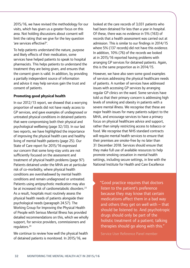2015/16, we have revised the methodology for our visits, which has given us a greater focus on this area. Not holding discussions about consent will limit the rating that we give for the key question 'are services effective?'.

To help patients understand the nature, purpose and likely effects of their medication, some services have helped patients to speak to hospital pharmacists. This helps patients to understand the treatment they are being given, and ensures that the consent given is valid. In addition, by providing a partially independent source of information and advice it may help services gain the trust and consent of patients.

#### **Promoting good physical health**

In our 2012/13 report, we showed that a worrying proportion of wards did not have ready access to GP services, and gave examples of undiagnosed or untreated physical conditions in detained patients that were compromising both their physical and psychological wellbeing (page 32/33). In our last two reports, we have highlighted the importance of improving the physical health care and healthy living of mental health patients (page 25). Our State of Care report for 2015/16 expressed our concern that some long-stay units are not sufficiently focused on the assessment and treatment of physical health problems (page 97). Patients detained under the MHA are at particular risk of co-morbidity, where physical health conditions are overshadowed by mental health conditions and remain undiagnosed or untreated. Patients using antipsychotic medication may also be at increased risk of cardiometabolic disorders.23 As a result, hospitals must routinely assess the physical health needs of patients alongside their psychological needs (paragraph 24.57). The Working Group for Improving the Physical Health of People with Serious Mental Illness has provided detailed recommendations on this, which we wholly support, for service providers, commissioners and regulators.24

We continue to review how well the physical health of detained patients is monitored. In 2015/16, we

looked at the care records of 3,031 patients who had been detained for less than a year in hospital. Of these, there was no evidence in 5% (163) of records that a health assessment was carried out at admission. This is similar to our findings in 2014/15 where 5% (137 records) did not have this evidence. In addition, 10% (76) of the records we looked at in 2015/16 reported having problems with arranging GP services for detained patients. Again, this is the same proportion as in 2014/15.

However, we have also seen some good examples of services addressing the physical healthcare needs of patients. A number of services have addressed issues with accessing GP services by arranging regular GP clinics on the ward. Some services have told us that their primary concern is addressing high levels of smoking and obesity in patients with a severe mental illness. We recognise that these are major health issues for many patients subject to the MHA, and encourage services to have a primary focus on physical healthcare advice and support, rather than simply restricting access to tobacco or food. We recognise that NHS standard contracts will require mental health services to ensure that their premises are smoke-free by no later than 31 December 2018. Services should ensure that they make full use of available resources to help promote smoking cessation in mental health settings, including secure settings, in line with the National Institute for Health and Care Excellence

"Good practice requires that doctors listen to the patient's preference because they may know that certain medications affect them in a bad way and others they get on well with  $-$  that should be listened to. And psychotropic drugs should only be part of the holistic treatment of a patient; talking therapies should go along with this."

Service User Reference Panel member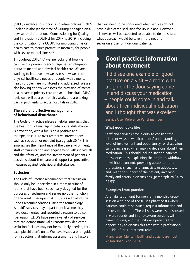(NICE) guidance to support smokefree policies.25 NHS England is also (at the time of writing) engaging on a new set of draft national Commissioning for Quality and Innovation (CQUINs) for 2017 to 2019, including the continuation of a CQUIN for improving physical health care to reduce premature mortality for people with severe mental illness.<sup>26</sup>

Throughout 2016/17, we are looking at how we can use our powers to encourage better integration between mental and physical health care. We are working to improve how we assess how well the physical healthcare needs of people with a mental health problem are monitored and addressed. We are also looking at how we assess the provision of mental health care in primary care and acute hospitals. MHA reviewers will be a part of this work, and are taking part in pilot visits to acute hospitals in 2016.

#### **The safe and effective management of behavioural disturbance**

The Code of Practice places a helpful emphasis that the best form of managing behavioural disturbance is prevention, with a focus on a positive and therapeutic culture over restrictive interventions such as seclusion or restraint (paragraph 26.4). This emphasises the importance of the care environment, staff communication and engagement with individuals and their families, and the involvement of patients in decisions about their care and support as preventive measures against behavioural disturbance.

#### **Seclusion**

The Code of Practice recommends that "seclusion should only be undertaken in a room or suite of rooms that have been specifically designed for the purposes of seclusion and serves no other function on the ward" (paragraph 26.105). As with all of the Code's recommendations using the terminology 'should', services may depart from it where they have documented and recorded a reason to do so (paragraph ix). We have seen a variety of services that can demonstrate valid reasons why dedicated seclusion facilities may not be routinely needed, for example children's units. We have issued a brief guide for inspectors that informs assessments and factors

that will need to be considered when services do not have a dedicated seclusion facility in place. However, all services will be expected to be able to demonstrate what approach would be taken if the need for seclusion arose for individual patients.<sup>27</sup>

### **Good practice: information about treatment**

"I did see one example of good practice on a visit – a room with a sign on the door saying come in and discuss your medication – people could come in and talk about their individual medication and I thought that was excellent."

Service User Reference Panel member

#### **What good looks like**

Staff and services have a duty to consider the different ways in which patients' understanding, level of involvement and opportunity for discussion can be increased when making decisions about their medication. This should include inviting patients to ask questions, explaining their right to withdraw or withhold consent, providing access to other professionals, such as pharmacists or advocates, and, with the support of the patient, involving family and carers in discussions (paragraph 24.34 to 24.53).

#### **Examples from practice**

A rehabilitation unit for men ran a monthly drop-in session with one of the trust's pharmacists where patients could raise issues, request information and discuss medication. These issues were also discussed in ward rounds and in one-to-one sessions with named nurses, and the unit gave patients the opportunity to discuss this area with a professional outside of their treatment team.

Manchester Mental Health and Social Care Trust, Anson Road, April 2016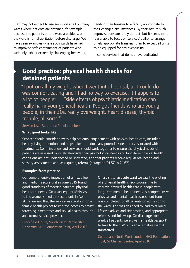Staff may not expect to use seclusion at all on many pending their transfer to a facility appropriate to wards where patients are detained, for example because the patients on the ward are elderly, or the ward is for rehabilitation before discharge. We have seen examples where such wards have had to improvise safe containment of patients who suddenly exhibit extremely challenging behaviour,

their changed circumstances. By their nature such improvisations are rarely perfect, but it seems more reasonable to focus on services' ability to arrange timely appropriate transfers, than to expect all units to be equipped for any eventuality.

In some services that do not have dedicated

### **Good practice: physical health checks for detained patients**

"I put on all my weight when I went into hospital, all I could do was comfort eating and I had no way to exercise. It happens to a lot of people"… "side effects of psychiatric medication can really harm your general health. I've got friends who are young people, in their 30s, really overweight, heart disease, thyroid trouble, all sorts."

#### Service User Reference Panel members

#### **What good looks like**

Services should consider how to help patients' engagement with physical health care, including healthy living promotion, and steps taken to reduce any potential side effects associated with treatments. Commissioners and services should work together to ensure the physical needs of patients are assessed routinely alongside their psychological needs and long-term physical health conditions are not undiagnosed or untreated, and that patients receive regular oral health and sensory assessments and, as required, referral (paragraph 24.57 to 24.62).

#### **Examples from practice**

Our comprehensive inspection of a mixed low On a visit to an acute ward we saw the piloting and medium secure unit in June 2015 found of a physical health check programme to good standards of meeting patients' physical improve physical health care in people with to the women's medium secure unit In April physical and mental health assessment form 2016, we saw that the service was working on a was completed for all patients on admission to female health project to improve access to breast the ward. This was designed to lead to tailored screening, smear tests and sexual health through lifestyle advice and signposting, and appropriate an external service provider. The referrals and follow-up. On discharge from the

healthcare needs. On a subsequent MHA visit long-term mental health needs. A comprehensive Brockfield House, South Essex Partnership **1988 ward, all patients were given a 'health passport'**<br>University NHS Foundation Trust, April 2016 transferred.

> Central and North West London NHS Foundation Trust, St Charles' Centre, April 2016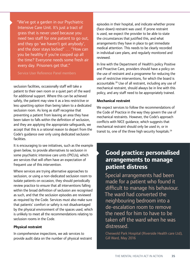"We've got a garden in our Psychiatric Intensive Care Unit. It's just a tract of grass that is never used because you need two staff for one patient to go out, and they go 'we haven't got anybody'. and the door stays locked" … "How can you be healthy if you're cooped up all the time? Everyone needs some fresh air every day. Prisoners get that."

Service User Reference Panel members

seclusion facilities, occasionally staff will take a patient to their own room or a quiet part of the ward for additional support. Where this can be achieved safely, the patient may view it as a less restrictive or less upsetting option than being taken to a dedicated seclusion room. As long as staff recognise that preventing a patient from leaving an area they have been taken to falls within the definition of seclusion, and they are applying the appropriate safeguards, we accept that this is a rational reason to depart from the Code's guidance over only using dedicated seclusion facilities.

It is encouraging to see initiatives, such as the example given below, to provide alternatives to seclusion in some psychiatric intensive care units (PICUs), which are services that will often have an expectation of frequent use of this intervention.

Where services are trying alternative approaches to seclusion, or using a non-dedicated seclusion room to isolate patients on occasion, they should periodically review practice to ensure that all interventions falling within the broad definition of seclusion are recognised as such, and that the seclusion episodes are reviewed as required by the Code. Services must also make sure that patients' comfort or safety is not disadvantaged by the physical environment of the spaces used, which is unlikely to meet all the recommendations relating to seclusion rooms in the Code.

#### **Physical restraint**

In comprehensive inspections, we ask services to provide audit data on the number of physical restraint

episodes in their hospital, and indicate whether prone (face-down) restraint was used. If prone restraint is used, we expect the provider to be able to state the circumstances that justified this, and what arrangements they have in place to get immediate medical attention. This needs to be clearly recorded in individual care plans, and regularly monitored and reviewed.

In line with the Department of Health's policy Positive and Proactive Care, providers should have a policy on the use of restraint and a programme for reducing the use of restrictive interventions, for which the board is accountable.28 Use of all restraint, including any use of mechanical restraint, should always be in line with this policy, and any staff need to be appropriately trained.

#### **Mechanical restraint**

transit to, one of the three high security hospitals.<sup>29</sup> We expect services to follow the recommendations of the Code of Practice in the way they govern the use of mechanical restraints. However, the Code's approach conflicts with NICE guidance, which suggests that mechanical restraint should only be used in, or in

### **Good practice: personalised arrangements to manage patient distress**

Special arrangements had been made for a patient who found it difficult to manage his behaviour. The ward had converted the neighbouring bedroom into a de-escalation room to remove the need for him to have to be taken off the ward when he was distressed.

Cheswold Park Hospital (Riverside Health care Ltd), Gill Ward, May 2016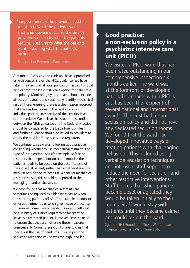"Empowerment – the providers need to listen to what the patients want. That is empowerment… so the service provider is driven by what the patients require. Listening to what the patients want and doing what the patients want..."

Service User Reference Panel member

A number of services and clinicians have approached us with concerns over the NICE guidance. We have taken the view that all local policies on restraint should be clear that the least restrictive option for patients is the priority. Monitoring by local teams should include all uses of restraint and specifically identify mechanical restraint use, ensuring there is a clear reason recorded that this has been done in the best interests of individual patient, irrespective of the security level of the service.<sup>30</sup> We believe the issue of this conflict between the NICE guidance and the Code of Practice should be considered by the Department of Health and further guidance should be issued to providers to clarify the position for services and regulators.

We continue to see wards following good practice in considering whether to use mechanical restraint. The type of intervention used (for example, soft hand restraints that impede but do not immobilise the patient) needs to be based on the best interests of the individual patient, rather than whether it is a low, medium or high secure hospital. Whenever mechanical restraint is used, this should be reported to the managing board of the service.

We have found that mechanical restraints are sometimes being used as a blanket measure when transporting patients off-site (for example to court or other appointments, or when given leave of absence for leisure). Some uses of handcuffs or soft cuffs will be a Ministry of Justice requirement for granting leave to a restricted patient. However, services need to ensure that they are not using these measures unnecessarily. Some forensic units have told us that they audit the use of handcuffs. This helped one service to recognise its use was too high, and led

### **Good practice: a non-seclusion policy in a psychiatric intensive care unit (PICU)**

We visited a PICU ward that had been rated outstanding in our comprehensive inspection six months earlier. The ward was at the forefront of developing national standards within PICUs, and has been the recipient of several national and international awards. The trust had a nonseclusion policy and did not have any dedicated seclusion rooms. We found that the ward had developed innovative ways of treating patients with challenging behaviour. This included using verbal de-escalation techniques and intensive staff support to reduce the need for seclusion and other restrictive interventions. Staff told us that when patients became upset or agitated they would be taken initially to their rooms. Staff would stay with patients until they became calmer and could re-join the ward.

2gether NHS Foundation Trust, Wooton Lawn Hospital, Greyfriars Ward, June 2016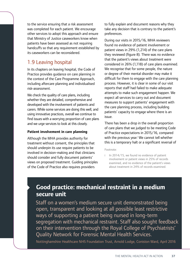to the service ensuring that a risk assessment was completed for each patient. We encourage other services to adopt this approach and ensure that Ministry of Justice caseworkers know when patients have been assessed as not requiring handcuffs so that any requirement established by its caseworkers can be reconsidered.

### 1.9 Leaving hospital

In its chapters on leaving hospital, the Code of Practice provides guidance on care planning in the context of the Care Programme Approach, including aftercare planning and individualised risk-assessment.

We check the quality of care plans, including whether they are detailed, comprehensive and developed with the involvement of patients and carers. While some services are doing this well, and using innovative practices, overall we continue to find issues with a worrying proportion of care plans and we urge services to look at this closely.

#### **Patient involvement in care planning**

Although the MHA provides authority for treatment without consent, the principles that should underpin its use require patients to be involved in decision-making and that clinicians should consider and fully document patients' views on proposed treatment. Guiding principles of the Code of Practice also requires providers

to fully explain and document reasons why they take any decision that is contrary to the patient's preferences.

During our visits in 2015/16, MHA reviewers found no evidence of patient involvement or patient views in 29% (1,214) of the care plans they reviewed (figure 8). There was no evidence that the patient's views about treatment were considered in 26% (1,118) of care plans examined. We recognise that for some people, the nature or degree of their mental disorder may make it difficult for them to engage with the care planning process. However, it is clear in some of our visit reports that staff had failed to make adequate attempts to make such engagement happen. We expect all services to carry out and document measures to support patients' engagement with the care planning process, including building patients' capacity to engage where there is an issue.

There has been a drop in the overall proportion of care plans that we judged to be meeting Code of Practice expectations in 2015/16, compared with the previous year.<sup>i</sup> We cannot tell whether this is a temporary halt or a significant reversal of

#### Footnote:

i In 2014/15, we found no evidence of patient involvement or patient views in 25% of records examined, and no evidence of the patient's views about treatment in 24% of records examined.

### **Good practice: mechanical restraint in a medium secure unit**

Staff on a women's medium secure unit demonstrated being open, transparent and looking at all possible least restrictive ways of supporting a patient being nursed in long-term segregation with mechanical restraint. Staff also sought feedback on their intervention through the Royal College of Psychiatrists' Quality Network for Forensic Mental Health Services.

Nottinghamshire Healthcare NHS Foundation Trust, Arnold Lodge, Coniston Ward, April 2016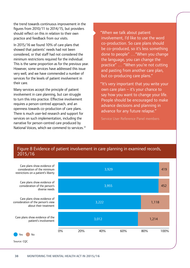the trend towards continuous improvement in the figures from 2010/11 to 2014/15, but providers should reflect on this in relation to their own practice and feedback from our visits.

In 2015/16 we found 10% of care plans that showed that patients' needs had not been considered, or that staff had not considered the minimum restrictions required for the individual. This is the same proportion as for the previous year. However, some services have addressed this issue very well, and we have commended a number of services for the levels of patient involvement in their care.

National Voices, which we commend to services.<sup>31</sup> Many services accept the principle of patient involvement in care planning, but can struggle to turn this into practice. Effective involvement requires a person-centred approach, and an openness towards co-production of care plans. There is much user-led research and support for services on such implementation, including the narrative for person-centred care produced by

"When we talk about patient involvement, I'd like to use the word co-production. So care plans should be co-produced, so it's less something done to people" …"When you change the language, you can change the practice" … "When you're not cutting and pasting from another care plan, but co-producing care plans."

"It's very important that you write your own care plan – it's your chance to say how you want to change your life. People should be encouraged to make advance decisions and planning in advance for any future relapse."

Service User Reference Panel members

#### Figure 8 Evidence of patient involvement in care planning in examined records, 2015/16

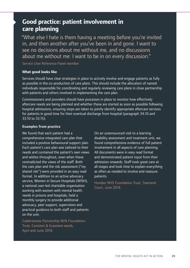### **Good practice: patient involvement in care planning**

"What else I hate is them having a meeting before you're invited in, and then another after you've been in and gone. I want to see no decisions about me without me, and no discussions about me without me: I want to be in on every discussion."

Service User Reference Panel member

#### **What good looks like**

Services should have clear strategies in place to actively involve and engage patients as fully as possible in the co-production of care plans. This should include the allocation of named individuals responsible for coordinating and regularly reviewing care plans in close partnership with patients and others involved in implementing the care plan.

Commissioners and providers should have processes in place to monitor how effectively aftercare needs are being planned and whether these are started as soon as possible following hospital admissions, ensuring steps are taken to jointly identify appropriate aftercare services for patients in good time for their eventual discharge from hospital (paragraph 34.10 and 33.10 to 33.15).

#### **Examples from practice**

We found that each patient had a **On an unannounced visit to a learning** comprehensive integrated care plan that disability assessment and treatment unit, we Each patient's care plan was tailored to their involvement in all aspects of care planning. needs and contained the patient's own views All documents were in easy read format and wishes throughout, even when these and demonstrated patient input from their contradicted the views of the staff. Both admission onwards. Staff took great care at shared risk") were provided in an easy read as often as needed to involve and reassure format. In addition to an active advocacy patients. service, Women in Secure Hospitals (WISH), Humber NHS Foundation Trust, Townend<br>a national user-led charitable organisation court, June 2016 working with women with mental health needs in prisons and hospitals, held a monthly surgery to provide additional advocacy, peer support, supervision and practical guidance to both staff and patients on the unit.

Calderstones Partnership NHS Foundation Trust, Coniston & Grasmere wards, April and June 2016

included a positive behavioural support plan. found comprehensive evidence of full patient the care plan and the risk assessment ("my all stages and took time to explain everything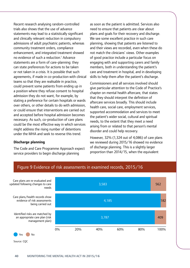Recent research analysing random-controlled trials also shows that the use of advance statements may lead to a statistically significant and clinically relevant reduction in compulsory admissions of adult psychiatric patients, whereas community treatment orders, compliance enhancement, and integrated treatment showed no evidence of such a reduction.<sup>1</sup> Advance statements are a form of care-planning: they can state preferences for actions to be taken or not taken in a crisis. It is possible that such agreements, if made in co-production with clinical teams so that they are realisable in practice, could prevent some patients from ending up in a position where they refuse consent to hospital admission they do not want, for example, by stating a preference for certain hospitals or wards over others, or other details to do with admission, or could ensure that interventions are carried out and accepted before hospital admission becomes necessary. As such, co-production of care plans could be the most effective way in which services might address the rising number of detentions under the MHA and seek to reverse this trend.

#### **Discharge planning**

The Code and Care Programme Approach expect service providers to begin discharge planning

as soon as the patient is admitted. Services also need to ensure that patients are clear about plans and goals for their recovery and discharge. We see some excellent practice in such care planning, showing that patients are listened to and their views are recorded, even when these do not match the clinicians' views. Other examples of good practice include a particular focus on engaging with and supporting carers and family members, both in understanding the patient's care and treatment in hospital, and in developing skills to help them after the patient's discharge.

Commissioners and all services involved should give particular attention to the Code of Practice's chapter on mental health aftercare, that states that they should interpret the definition of aftercare services broadly. This should include health care, social care, employment services, supported accommodation and services to meet the patient's wider social, cultural and spiritual needs, to the extent that they meet a need arising from or related to that person's mental disorder and could help recovery.

However, 32% (1,324 out of 4,086) of care plans we reviewed during 2015/16 showed no evidence of discharge planning. This is a slightly larger proportion than 2014/15, when the equivalent



Figure 9 Evidence of risk assessments in examined records, 2015/16

Source: CQC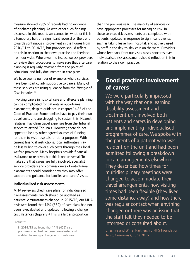measure showed 29% of records had no evidence of discharge planning. As with other such findings discussed in this report, we cannot tell whether this is a temporary halt or a significant reversal of the trend towards continuous improvement in the figures from 2010/11 to 2014/15, but providers should reflect on this in relation to their own practice and feedback from our visits. Where we find issues, we ask providers to review their procedures to make sure that aftercare planning is regularly reviewed from the point of admission, and fully documented in care plans.

We have seen a number of examples where services have been particularly supportive to carers. Many of these services are using guidance from the *Triangle of Care* initiative.32

Involving carers in hospital care and aftercare planning can be complicated for patients in out-of-area placements, despite guidance in chapter 14.85 of the Code of Practice. Some families have to pay their own travel costs and are struggling to sustain this. Nearest relatives may claim travel expenses from the Tribunal service to attend Tribunals. However, there do not appear to be any other agreed sources of funding for them to visit hospitals for other purposes. With current financial restrictions, local authorities may be less willing to cover such costs through their local welfare provision. Many hospitals provide financial assistance to relatives but this is not universal. To make sure that carers are fully involved, specialist service providers and commissioners of out-of-area placements should consider how they may offer support and guidance for families and carers' visits.

#### **Individualised risk assessments**

MHA reviewers check care plans for individualised risk-assessments, which should be updated as patients' circumstances change. In 2015/16, our MHA reviewers found that 14% (562) of care plans had not been re-evaluated and updated following a change in circumstances (figure 9).<sup>j</sup> This is a larger proportion

Footnote:

In 2014/15 we found that 11% (425) care plans examined had not been re-evaluated and updated following a change in circumstances.

than the previous year. The majority of services do have appropriate processes for managing risk. In these services risk assessments are completed with patients; updated in response to significant events, such as taking leave from hospital; and actively used by staff in the day-to-day care on the ward. Providers whose feedback from our visits raises concerns over individualised risk assessment should reflect on this in relation to their own practice.

### **Good practice: involvement of carers**

We were particularly impressed with the way that one learning disability assessment and treatment unit involved both patients and carers in developing and implementing individualised programmes of care. We spoke with the parents of a patient who was resident on the unit and had been admitted following a breakdown in care arrangements elsewhere. They described how times for multidisciplinary meetings were changed to accommodate their travel arrangements, how visiting times had been flexible (they lived some distance away) and how there was regular contact when anything changed or there was an issue that the staff felt they needed to be informed or consulted about.

Cheshire and Wirral Partnership NHS Foundation Trust, Greenways, June 2016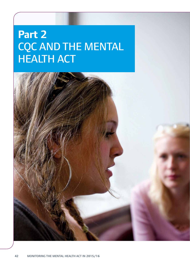# **Part 2**  CQC AND THE MENTAL HEALTH ACT

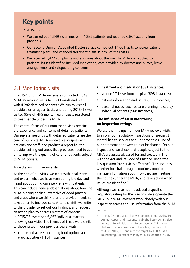### **Key points**

In 2015/16:

- We carried out 1,349 visits, met with 4,282 patients and required 6,867 actions from providers.
- Our Second Opinion Appointed Doctor service carried out 14,601 visits to review patient treatment plans, and changed treatment plans in 27% of their visits.
- We received 1,422 complaints and enquiries about the way the MHA was applied to patients. Issues identified included medication, care provided by doctors and nurses, leave arrangements and safeguarding concerns.

### 2.1 Monitoring visits

In 2015/16, our MHA reviewers conducted 1,349 MHA monitoring visits to 1,309 wards and met with 4,282 detained patients. $k$  We aim to visit all providers on a regular basis, and during 2015/16 we visited 95% of NHS mental health trusts registered to treat people under the MHA.

The central focus of our monitoring visits remains the experience and concerns of detained patients. Our private meetings with detained patients are the core of our visits. MHA reviewers also speak with patients and staff, and produce a report for the provider setting out areas that providers need to act on to improve the quality of care for patients subject to MHA powers.

#### **Impacts and improvements**

At the end of our visits, we meet with local teams and explain what we have seen during the day and heard about during our interviews with patients. This can include general observations about how the MHA is being applied, examples of good practice, and areas where we think that the provider needs to take action to improve care. After the visit, we write to the provider to set out our findings, and request an action plan to address matters of concern. In 2015/16, we raised 6,867 individual matters following our visits. The themes of these were similar to those raised in our previous years' visits:

 choice and access, including food options and ward activities (1,101 instances)

- treatment and medication (691 instances)
- section 17 leave from hospital (698 instances)
- patient information and rights (506 instances)
- personal needs, such as care planning, raised by individual patients (568 instances).

#### **The influence of MHA monitoring on inspection ratings**

We use the findings from our MHA reviewer visits to inform our regulatory inspections of specialist mental health services and, in some cases, use of our enforcement powers to require change. On our inspections, we check that people subject to the MHA are assessed, cared for and treated in line with the Act and its Code of Practice, under the key question 'are services effective?' This includes whether hospital managers routinely monitor and manage information about how they are meeting their duties under the MHA, and take action when issues are identified.<sup>33</sup>

#### Although we have not introduced a specific regulatory rating for the way providers operate the MHA, our MHA reviewers work closely with our inspection teams and use information from the MHA

#### Footnote:

k This is 97 more visits than we reported in our 2015/16 Annual Report and Accounts (published July 2016), due to late entry of visit data into our records. This means that we were one visit short of our target number of visits in 2015/16, and met the target by 100% (as a rounded figure) rather than by 93% as reported in July.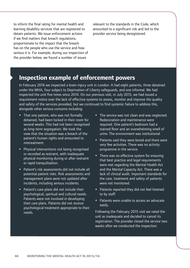to inform the final rating for mental health and learning disability services that are registered to detain patients. We issue enforcement actions if we find matters that breach regulations, proportionate to the impact that the breach has on the people who use the service and how serious it is. For example, during our inspection of the provider below, we found a number of issues

relevant to the standards in the Code, which amounted to a significant risk and led to the provider service being deregistered.

### **Inspection example of enforcement powers**

In February 2016 we inspected a brain-injury unit in London. It had eight patients, three detained under the MHA, four subject to Deprivation of Liberty safeguards, and one informal. We had inspected the unit five times since 2010. On our previous visit, in July 2015, we had issued a requirement notice over the lack of effective systems to assess, monitor and improve the quality and safety of the services provided, but we continued to find systemic failure to address this, alongside other serious concerns including:

- That one patient, who was not formally detained, had been locked in their room for several weeks. This had not been recognised as long-term segregation. We took the view that the situation was a breach of the patient's human rights and amounted to mistreatment.
- Physical interventions not being recognised or recorded as restraint, with inadequate physical monitoring during or after restraint or rapid tranquilisation.
- Patient's risk assessments did not include all potential patient risks. Risk assessments and management plans were not updated after incidents, including serious incidents.
- Patient's care plans did not include their psychological, spiritual and cultural needs. Patients were not involved in developing their care plans. Patients did not receive psychological treatment appropriate to their needs.
- The service was not clean and was neglected. Redecoration and maintenance were required. One patient's bedroom had a stained floor and an overwhelming smell of urine. The environment was institutional.
- Patients said they were bored and there were very few activities. There was no activity programme in the service.
- There was no effective system for ensuring that best practice and legal requirements were met regarding the Mental Health Act and the Mental Capacity Act. There was a lack of clinical audit. Important standards for the care, treatment and safety of patients were not monitored.
- Patients reported they did not feel listened to by staff.
- Patients were unable to access an advocate easily.

Following the February 2015 visit we rated the unit as inadequate and decided to cancel its registration. The provider closed the service two weeks after we conducted the inspection.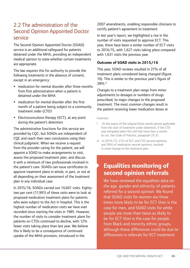### 2.2 The administration of the Second Opinion Appointed Doctor service

The Second Opinion Appointed Doctor (SOAD) service is an additional safeguard for patients detained under the MHA, providing an independent medical opinion to state whether certain treatments are appropriate.

The law requires this for authority to provide the following treatments in the absence of consent, except in an emergency:

- medication for mental disorder after three months from first administration when a patient is detained under the MHA
- medication for mental disorder after the first month of a patient being subject to a community treatment order (CTO)<sup>1</sup>
- Electroconvulsive therapy (ECT), at any point during the patient's detention.

The administrative functions for this service are provided by CQC, but SOADs are independent of CQC and reach their own conclusions using their clinical judgment. When we receive a request from the provider caring for the patient, we will appoint a SOAD to make arrangements to visit, assess the proposed treatment plan, and discuss it with a minimum of two professionals involved in the patient's care. SOADs can issue certificates to approve treatment plans in whole, in part, or not at all depending on their assessment of the treatment plan in any individual case.

In 2015/16, SOADs carried out 14,601 visits. Eightytwo per cent (11,991) of these visits were to look at proposed medication treatment plans for patients who were subject to the Act in hospital. This is the highest number of medication visits we have ever recorded since starting the visits in 1985. However, the number of visits to consider treatment plans for patients on CTOs continued to decline, with 12% fewer visits taking place than last year. We believe this is likely to be a consequence of continued uptake of the MHA provision, introduced in the

2007 amendments, enabling responsible clinicians to certify patient's agreement to treatment.

In last year's report, we highlighted a rise in the number of visits requested to approve ECT. This year, there have been a similar number of ECT visits to 2014/15, with 1,627 visits taking place compared with 1,631 visits the previous year.

#### **Outcome of SOAD visits in 2015/16**

This year, SOAD reviews resulted in 27% of all treatment plans considered being changed (figure 10). This is similar to the previous year's figure of 28%.m

Changes to a treatment plan range from minor adjustments to dosages or numbers of drugs prescribed, to major changes to the proposed treatment. The most common changes result in the patient receiving lower medication doses or

Footnote:

- l Or the expiry of the original three month period applicable from the start of treatment under detention, if the CTO was instigated when this still had more than a month to run. See Code of Practice, paragraph 25.31.
- m In 2014/15, 21% of ECT and CTO second opinions, and 30% of medication second opinions, resulted in some change to the treatment plan.

### **Equalities monitoring of second opinion referrals**

We have reviewed the equalities data on the age, gender and ethnicity of patients referred for a second opinion. We found that SOAD visits for women are three times more likely to be for ECT than is the case for men, and SOAD visits for white people are more than twice as likely to be for ECT than is the case for people from Black and minority ethnic groups, although these differences could be due to differences in referrals for ECT treatment.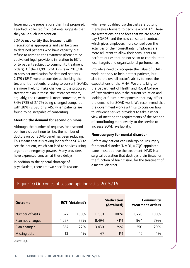fewer multiple preparations than first proposed. Feedback collected from patients suggests that they value such intervention.

SOADs may certify that treatment with medication is appropriate and can be given to detained patients who have capacity but refuse to agree to the treatment (there are no equivalent legal provisions in relation to ECT, or to patients subject to community treatment orders). Of the 11,991 SOAD visits in 2015/16 to consider medication for detained patients, 2,179 (18%) were to consider authorising the treatment of patients refusing to consent. SOADs are more likely to make changes to the proposed treatment plan in these circumstances where, arguably, the treatment is more contested, with 34% (735 of 2,179) being changed compared with 28% (2,695 of 9,745) when patients are found to be incapable of consenting.

#### **Meeting the demand for second opinions**

Although the number of requests for a second opinion visit continue to rise, the number of doctors on our SOAD panel has been reducing. This means that it is taking longer for a SOAD to see the patient, which can lead to services using urgent or emergency powers. Many providers have expressed concern at these delays.

In addition to the general shortage of psychiatrists, there are two specific reasons why fewer qualified psychiatrists are putting themselves forward to become a SOAD.34 These are restrictions on the fees that we are able to pay SOADS, and the new consultant contract which gives employers more control over the activities of their consultants. Employers are more reluctant to allow their consultants to perform duties that do not seem to contribute to local targets and organisational performance.

Providers need to recognise the value of SOAD work, not only to help protect patients, but also to the overall sector's ability to meet the expectations of the MHA. We are talking to the Department of Health and Royal College of Psychiatrists about the current situation and looking at future developments that may affect the demand for SOAD work. We recommend that the government works with us to consider how to influence service providers to take a wider view of meeting the requirements of the Act and of contributing more evenly to the service to increase SOAD availability.

#### **Neurosurgery for mental disorder**

Before any patient can undergo neurosurgery for mental disorder (NMD), a CQC-appointed panel must approve the treatment. NMD is a surgical operation that destroys brain tissue, or the function of brain tissue, for the treatment of a mental disorder.

#### Figure 10 Outcomes of second opinion visits, 2015/16

| <b>Outcome</b>   |       | <b>ECT</b> (detained) | <b>Medication</b><br>(detained) |      |       | Community<br>treatment orders |
|------------------|-------|-----------------------|---------------------------------|------|-------|-------------------------------|
| Number of visits | 1,627 | 100%                  | 11,991                          | 100% | 1,226 | 100%                          |
| Plan not changed | 1,257 | 77%                   | 8,494                           | 71%  | 964   | 79%                           |
| Plan changed     | 357   | 22%                   | 3,430                           | 29%  | 250   | 20%                           |
| Missing data     | 13    | 1%                    | 67                              | 1%   | 12    | 1%                            |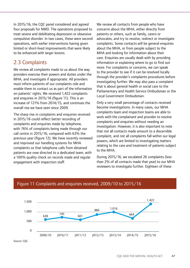In 2015/16, the CQC panel considered and agreed four proposals for NMD. The operations proposed to treat severe and debilitating depression or obsessive compulsive disorder. In two cases, these were second operations, with earlier interventions having given limited or short-lived improvements that were likely to be enhanced with larger lesions.

### 2.3 Complaints

We review all complaints made to us about the way providers exercise their powers and duties under the MHA, and investigate if appropriate. All providers must inform patients of our complaints role and enable them to contact us as part of the information on patients' rights. We received 1,422 complaints and enquiries in 2015/16 (figure 11). This is an increase of 121% from 2014/15, and continues the overall rise we have seen since 2009.

The sharp rise in complaints and enquiries received in 2015/16 could reflect better recording of complaints and enquiries made by telephone, with 76% of complaints being made through our call centre in 2015/16, compared with 63% the previous year (figure 12). We have recently reviewed and improved our handling systems for MHA complaints so that telephone calls from detained patients are now directed to a dedicated team, with a 100% quality check on records made and regular engagement with inspection staff.

We review all contacts from people who have concerns about the MHA, either directly from patients or others, such as family, carers or advocates, and try to resolve, redirect or investigate complaints. Some contacts will be general enquiries about the MHA, or from people subject to the MHA and looking for information about their care. Enquiries are usually dealt with by providing information or explaining where to go to find out more. For complaints or concerns, we can speak to the provider to see if it can be resolved locally through the provider's complaints procedures before investigating further. We may also pass a complaint that is about general health or social care to the Parliamentary and Health Service Ombudsman or the Local Government Ombudsman.

Only a very small percentage of contacts received become investigations. In many cases, our MHA complaints team and inspection teams are able to work with the complainant and provider to resolve complaints and enquiries without needing an investigation. However, it is also important to note that not all contacts made amount to a discernible complaint, and not all complaints fall within our legal powers, which are limited to investigating matters relating to the care and treatment of patients subject to the MHA.

During 2015/16, we escalated 26 complaints (less than 2% of all contacts made that year) to our MHA reviewers to investigate further. Eighteen of these



#### Figure 11 Complaints and enquiries received, 2009/10 to 2015/16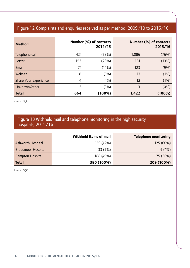### Figure 12 Complaints and enquiries received as per method, 2009/10 to 2015/16

| <b>Method</b>                |     | Number (%) of contacts<br>2014/15 |       | Number (%) of contacts<br>2015/16 |
|------------------------------|-----|-----------------------------------|-------|-----------------------------------|
| Telephone call               | 421 | (63%)                             | 1,086 | (76%)                             |
| Letter                       | 153 | (23%)                             | 181   | (13%)                             |
| Email                        | 71  | (11%)                             | 123   | (9%)                              |
| Website                      | 8   | (1%)                              | 17    | (1%)                              |
| <b>Share Your Experience</b> | 4   | (1%)                              | 12    | (1%)                              |
| Unknown/other                | 5   | (1%)                              | 3     | (0%)                              |
| <b>Total</b>                 | 664 | (100%)                            | 1,422 | (100%)                            |

Source: CQC

#### Figure 13 Withheld mail and telephone monitoring in the high security hospitals, 2015/16

|                           | Withheld items of mail | <b>Telephone monitoring</b> |
|---------------------------|------------------------|-----------------------------|
| Ashworth Hospital         | 159 (42%)              | 125 (60%)                   |
| <b>Broadmoor Hospital</b> | 33 (9%)                | 9(4%)                       |
| Rampton Hospital          | 188 (49%)              | 75 (36%)                    |
| <b>Total</b>              | 380 (100%)             | 209 (100%)                  |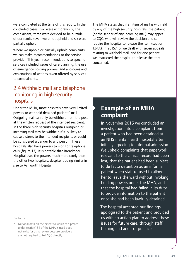were completed at the time of this report. In the concluded cases, two were withdrawn by the complainant, three were decided to be outside of our remit, seven were not upheld and six were partially upheld.

Where we uphold or partially uphold complaints, we can make recommendations to the service provider. This year, recommendations to specific services included issues of care planning, the use of emergency holding powers, and apologies and explanations of actions taken offered by services to complainants.

### 2.4 Withheld mail and telephone monitoring in high security hospitals

Under the MHA, most hospitals have very limited powers to withhold detained patients' mail. Outgoing mail can only be withheld from the post at the written request of the intended recipient.<sup>n</sup> In the three high security hospitals outgoing or incoming mail may be withheld if it is likely to cause distress to the intended recipient, or could be considered a danger to any person. These hospitals also have powers to monitor telephone calls (figure 13). It is notable that Broadmoor Hospital uses the powers much more rarely than the other two hospitals, despite it being similar in size to Ashworth Hospital.

Footnote:

n National data on the extent to which this power under section134 of the MHA is used does not exist for us to review because providers are not required to tell CQC directly.

The MHA states that if an item of mail is withheld by any of the high security hospitals, the patient (or the sender of any incoming mail) may appeal to CQC, who will review the decision and can require the hospital to release the item (section 134A). In 2015/16, we dealt with seven appeals relating to withheld mail, and for one patient we instructed the hospital to release the item concerned.

### **Example of an MHA complaint**

In November 2015 we concluded an investigation into a complaint from a patient who had been detained at an NHS mental health hospital after initially agreeing to informal admission. We upheld complaints that paperwork relevant to the clinical record had been lost, that the patient had been subject to de facto detention as an informal patient when staff refused to allow her to leave the ward without invoking holding powers under the MHA, and that the hospital had failed in its duty to provide information to the patient once she had been lawfully detained.

The hospital accepted our findings, apologised to the patient and provided us with an action plan to address these issues for future care, through staff training and audit of practice.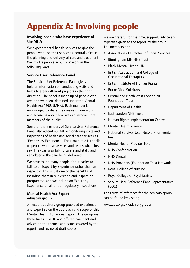# **Appendix A: Involving people**

#### **Involving people who have experience of the MHA**

We expect mental health services to give the people who use their services a central voice in the planning and delivery of care and treatment. We involve people in our own work in the following ways.

#### **Service User Reference Panel**

The Service User Reference Panel gives us helpful information on conducting visits and helps to steer different projects in the right direction. The panel is made up of people who are, or have been, detained under the Mental Health Act 1983 (MHA). Each member is encouraged to share their views on our work and advise us about how we can involve more members of the public.

Some of the members of Service User Reference Panel also attend our MHA monitoring visits and inspections of health and social care services as 'Experts by Experience'. Their main role is to talk to people who use services and tell us what they say. They can also talk to carers and staff, and can observe the care being delivered.

We have found many people find it easier to talk to an Expert by Experience rather than an inspector. This is just one of the benefits of including them in our visiting and inspection programme, and we include an Expert by Experience on all of our regulatory inspections.

#### **Mental Health Act Expert advisory group**

An expert advisory group provided experience and expertise on the approach and scope of this Mental Health Act annual report. The group met three times in 2016 and offered comment and advice on the themes and issues covered by the report, and reviewed draft copies.

We are grateful for the time, support, advice and expertise given to the report by the group. The members are:

- Association of Directors of Social Services
- Birmingham MH NHS Trust
- Black Mental Health UK
- British Association and College of Occupational Therapists
- British Institute of Human Rights
- Burke Niazi Solicitors
- Central and North West London NHS Foundation Trust
- Department of Health
- East London NHS Trust
- Human Rights Implementation Centre
- Mental Health Alliance
- National Survivor User Network for mental health
- Mental Health Provider Forum
- NHS Confederation
- NHS Digital
- NHS Providers (Foundation Trust Network)
- Royal College of Nursing
- Royal College of Psychiatrists
- Service User Reference Panel representative (CQC)

The terms of reference for the advisory group can be found by visiting:

www.cqc.org.uk/advisorygroups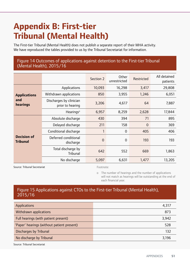# **Appendix B: First-tier Tribunal (Mental Health)**

The First-tier Tribunal (Mental Health) does not publish a separate report of their MHA activity. We have reproduced the tables provided to us by the Tribunal Secretariat for information.

#### Figure 14 Outcomes of applications against detention to the First-tier Tribunal (Mental Health), 2015/16

|                                       |                                             | Section 2      | Other<br>unrestricted | Restricted     | All detained<br>patients |
|---------------------------------------|---------------------------------------------|----------------|-----------------------|----------------|--------------------------|
|                                       | Applications                                | 10,093         | 16,298                | 3,417          | 29,808                   |
| <b>Applications</b>                   | Withdrawn applications                      | 850            | 3,955                 | 1,246          | 6,051                    |
| and<br>hearings                       | Discharges by clinician<br>prior to hearing | 3,206          | 4,617                 | 64             | 7,887                    |
|                                       | Hearings <sup>o</sup>                       | 6,957          | 8,259                 | 2,628          | 17,844                   |
|                                       | Absolute discharge                          | 430            | 394                   | 71             | 895                      |
|                                       | Delayed discharge                           | 211            | 158                   | $\overline{0}$ | 369                      |
|                                       | Conditional discharge                       | 1              | $\overline{0}$        | 405            | 406                      |
| <b>Decision of</b><br><b>Tribunal</b> | Deferred conditional<br>discharge           | $\overline{0}$ | $\overline{0}$        | 193            | 193                      |
|                                       | Total discharge by<br><b>Tribunal</b>       | 642            | 552                   | 669            | 1,863                    |
|                                       | No discharge                                | 5,097          | 6,631                 | 1,477          | 13,205                   |

Source: Tribunal Secretariat Footnote:

o The number of hearings and the number of applications will not match as hearings will be outstanding at the end of each financial year.

#### Figure 15 Applications against CTOs to the First-tier Tribunal (Mental Health), 2015/16

| Applications                               | 4,317 |
|--------------------------------------------|-------|
| Withdrawn applications                     | 873   |
| Full hearings (with patient present)       | 3,942 |
| 'Paper' hearings (without patient present) | 528   |
| Discharges by Tribunal                     | 132   |
| No discharge by Tribunal                   | 3,196 |

Source: Tribunal Secretariat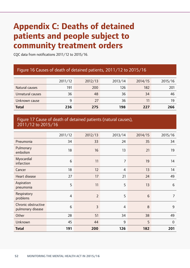# **Appendix C: Deaths of detained patients and people subject to community treatment orders**

CQC data from notifications 2011/12 to 2015/16.

### Figure 16 Causes of death of detained patients, 2011/12 to 2015/16

|                  | 2011/12 | 2012/13 | 2013/14 | 2014/15 | 2015/16 |
|------------------|---------|---------|---------|---------|---------|
| Natural causes   | 191     | 200     | 126     | 182     | 201     |
| Unnatural causes | 36      | 48      | 36      | 34      | 46      |
| Unknown cause    | 9       | 27      | 36      | 11      | 19      |
| <b>Total</b>     | 236     | 275     | 198     | 227     | 266     |

#### Figure 17 Cause of death of detained patients (natural causes), 2011/12 to 2015/16

|                                          | 2011/12         | 2012/13        | 2013/14        | 2014/15         | 2015/16         |
|------------------------------------------|-----------------|----------------|----------------|-----------------|-----------------|
| Pneumonia                                | 34              | 33             | 24             | 35              | 34              |
| Pulmonary<br>embolism                    | 18              | 16             | 13             | 21              | 19              |
| Myocardial<br>infarction                 | $6\phantom{1}6$ | 11             | $\overline{7}$ | 19              | 14              |
| Cancer                                   | 18              | 12             | $\overline{4}$ | 13              | 14              |
| Heart disease                            | 27              | 17             | 21             | 24              | 49              |
| Aspiration<br>pneumonia                  | 5               | 11             | 5              | 13              | $6\phantom{1}6$ |
| Respiratory<br>problems                  | $\overline{4}$  | $\overline{2}$ | 5              | $6\phantom{1}6$ | $\overline{7}$  |
| Chronic obstructive<br>pulmonary disease | 6               | $\overline{3}$ | $\overline{4}$ | 8               | 9               |
| Other                                    | 28              | 51             | 34             | 38              | 49              |
| Unknown                                  | 45              | 44             | 9              | 5               | $\overline{0}$  |
| <b>Total</b>                             | 191             | 200            | 126            | 182             | 201             |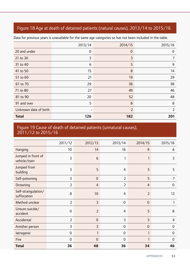### Figure 18 Age at death of detained patients (natural causes), 2013/14 to 2015/16

|                       | 2013/14     | 2014/15        | 2015/16        |
|-----------------------|-------------|----------------|----------------|
| 20 and under          | $\mathbf 0$ | $\theta$       | 0              |
| 21 to 30              | 3           | 3              | 7              |
| 31 to 40              | 6           | 5              | 9              |
| 41 to 50              | 15          | 8              | 14             |
| 51 to 60              | 21          | 19             | 29             |
| 61 to 70              | 29          | 36             | 38             |
| 71 to 80              | 27          | 49             | 46             |
| 81 to 90              | 20          | 52             | 48             |
| 91 and over           | 5           | 8              | 8              |
| Unknown date of birth |             | $\overline{2}$ | $\overline{2}$ |
| <b>Total</b>          | 126         | 182            | 201            |

Data for previous years is unavailable for the same age categories so has not been included in the table.

#### Figure 19 Cause of death of detained patients (unnatural causes), 2011/12 to 2015/16

|                                     | 2011/12        | 2012/13         | 2013/14        | 2014/15        | 2015/16        |
|-------------------------------------|----------------|-----------------|----------------|----------------|----------------|
| Hanging                             | 10             | 14              | 16             | 9              | 6              |
| Jumped in front of<br>vehicle/train | 3              | $6\phantom{1}6$ | 1              | 1              | 3              |
| Jumped from<br>building             | 3              | 5               | $\overline{4}$ | 3              | 5              |
| Self-poisoning                      | 3              | $\overline{0}$  | $\overline{2}$ | 5              | $\overline{7}$ |
| Drowning                            | $\overline{2}$ | 4               | $\overline{2}$ | $\overline{4}$ | 0              |
| Self-strangulation/<br>suffocation  | 8              | 10              | 4              | $\overline{2}$ | 12             |
| Method unclear                      | $\overline{2}$ | 3               | $\overline{0}$ | $\overline{0}$ | 1              |
| Unsure suicide/<br>accident         | $\overline{0}$ | $\overline{2}$  | $\overline{4}$ | 5              | 8              |
| Accidental                          | $\overline{2}$ | $\overline{0}$  | 3              | $\overline{3}$ | 4              |
| Another person                      | 3              | 3               | $\mathbf 0$    | $\mathbf 0$    | 0              |
| latrogenic                          | $\overline{0}$ | 1               | $\overline{0}$ | 1              | $\overline{0}$ |
| Fire                                | $\overline{0}$ | $\overline{0}$  | $\overline{0}$ | 1              | $\overline{0}$ |
| <b>Total</b>                        | 36             | 48              | 36             | 34             | 46             |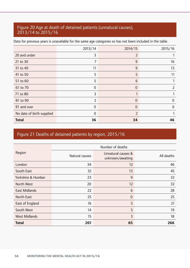#### Figure 20 Age at death of detained patients (unnatural causes), 2013/14 to 2015/16

|                           | 2013/14        | 2014/15        | 2015/16        |
|---------------------------|----------------|----------------|----------------|
|                           |                |                |                |
| 20 and under              | 3              | $\overline{2}$ |                |
| 21 to 30                  | 7              | 9              | 16             |
| 31 to 40                  | 11             | 9              | 13             |
| 41 to 50                  | 5              | 5              | 11             |
| 51 to 60                  | 5              | 6              |                |
| 61 to 70                  | $\overline{0}$ | $\overline{0}$ | 2              |
| 71 to 80                  | 3              |                |                |
| 81 to 90                  | $\overline{2}$ | $\overline{0}$ | $\overline{0}$ |
| 91 and over               | $\overline{0}$ | $\overline{0}$ | $\Omega$       |
| No date of birth supplied | $\overline{0}$ | $\overline{2}$ |                |
| <b>Total</b>              | 36             | 34             | 46             |

Data for previous years is unavailable for the same age categories so has not been included in the table.

### Figure 21 Deaths of detained patients by region, 2015/16

|                      | Number of deaths |                                        |            |  |  |
|----------------------|------------------|----------------------------------------|------------|--|--|
| Region               | Natural causes   | Unnatural causes &<br>unknown/awaiting | All deaths |  |  |
| London               | 34               | 12                                     | 46         |  |  |
| South East           | 32               | 13                                     | 45         |  |  |
| Yorkshire & Humber   | 23               | 9                                      | 32         |  |  |
| North West           | 20               | 12                                     | 32         |  |  |
| <b>East Midlands</b> | 22               | 6                                      | 28         |  |  |
| <b>North East</b>    | 25               | $\mathbf 0$                            | 25         |  |  |
| East of England      | 16               | 5                                      | 21         |  |  |
| South West           | 14               | 5                                      | 19         |  |  |
| <b>West Midlands</b> | 15               | 3                                      | 18         |  |  |
| <b>Total</b>         | 201              | 65                                     | 266        |  |  |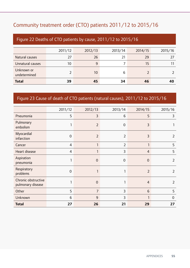### Community treatment order (CTO) patients 2011/12 to 2015/16

| Figure 22 Deaths of CTO patients by cause, 2011/12 to 2015/16 |         |         |         |         |         |
|---------------------------------------------------------------|---------|---------|---------|---------|---------|
|                                                               | 2011/12 | 2012/13 | 2013/14 | 2014/15 | 2015/16 |
| Natural causes                                                | 27      | 26      | 21      | 29      | 27      |
| Unnatural causes                                              | 10      | 9       |         | 15      | 11      |
| Unknown or<br>undetermined                                    | 2       | 10      | 6       |         |         |
| <b>Total</b>                                                  | 39      | 45      | 34      | 46      | 40      |

### Figure 23 Cause of death of CTO patients (natural causes), 2011/12 to 2015/16

|                                          | 2011/12        | 2012/13        | 2013/14        | 2014/15        | 2015/16        |
|------------------------------------------|----------------|----------------|----------------|----------------|----------------|
| Pneumonia                                | 5              | 3              | 6              | 5              | 3              |
| Pulmonary<br>embolism                    |                | $\overline{2}$ | $\overline{0}$ | 3              |                |
| Myocardial<br>infarction                 | $\mathbf 0$    | $\overline{2}$ | $\overline{2}$ | 3              | $\overline{2}$ |
| Cancer                                   | 4              | 1              | $\overline{2}$ | 1              | 5              |
| Heart disease                            | 4              | 1              | 3              | $\overline{4}$ | 5              |
| Aspiration<br>pneumonia                  | 1              | $\overline{0}$ | $\overline{0}$ | $\overline{0}$ | $\overline{2}$ |
| Respiratory<br>problems                  | $\overline{0}$ | ٦              |                | $\overline{2}$ | $\overline{2}$ |
| Chronic obstructive<br>pulmonary disease |                | $\overline{0}$ |                | 4              | $\overline{2}$ |
| Other                                    | 5              | $\overline{7}$ | 3              | 6              | 5              |
| Unknown                                  | 6              | 9              | 3              | 1              | $\overline{0}$ |
| <b>Total</b>                             | 27             | 26             | 21             | 29             | 27             |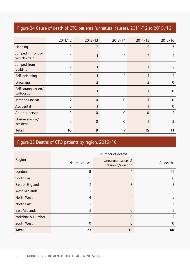### Figure 24 Cause of death of CTO patients (unnatural causes), 2011/12 to 2015/16

| <b>Total</b>                        | 10             | 9              | 7              | 15             | 11             |
|-------------------------------------|----------------|----------------|----------------|----------------|----------------|
| Unsure suicide/<br>accident         | 0              | $\overline{0}$ | $\Omega$       |                | 3              |
| Another person                      | $\overline{0}$ | $\overline{0}$ | $\overline{0}$ | $\Omega$       |                |
| Accidental                          | 0              |                |                |                | $\Omega$       |
| Method unclear                      | $\overline{2}$ | $\overline{0}$ | $\overline{0}$ | 1              | $\overline{0}$ |
| Self-strangulation/<br>suffocation  | 0              |                |                |                | 0              |
| Drowning                            |                | 2              |                | $\overline{2}$ | $\Omega$       |
| Self-poisoning                      |                |                |                | 1              |                |
| Jumped from<br>building             | $\overline{2}$ |                |                |                | 2              |
| Jumped in front of<br>vehicle/train |                |                |                | 2              |                |
| Hanging                             | 3              | $\overline{2}$ |                | 5              | 3              |
|                                     | 2011/12        | 2012/13        | 2013/14        | 2014/15        | 2015/16        |

### Figure 25 Deaths of CTO patients by region, 2015/16

|                      | Number of deaths |                                        |                |  |  |
|----------------------|------------------|----------------------------------------|----------------|--|--|
| Region               | Natural causes   | Unnatural causes &<br>unknown/awaiting | All deaths     |  |  |
| London               | 8                | 4                                      | 12             |  |  |
| South East           | 5                |                                        | 6              |  |  |
| East of England      | $\overline{2}$   | 3                                      | 5              |  |  |
| <b>West Midlands</b> | $\overline{2}$   | 3                                      | 5              |  |  |
| North West           | $\overline{4}$   |                                        | 5              |  |  |
| North East           | 2                |                                        | 3              |  |  |
| <b>East Midlands</b> | $\overline{2}$   | 0                                      | $\overline{2}$ |  |  |
| Yorkshire & Humber   | $\overline{2}$   | 0                                      | 2              |  |  |
| South West           | $\overline{0}$   | $\Omega$                               | 0              |  |  |
| <b>Total</b>         | 27               | 13                                     | 40             |  |  |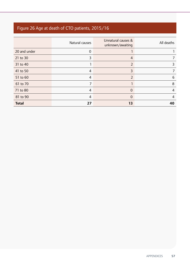### Figure 26 Age at death of CTO patients, 2015/16

|              | Natural causes | Unnatural causes &<br>unknown/awaiting | All deaths     |
|--------------|----------------|----------------------------------------|----------------|
| 20 and under | $\mathbf 0$    |                                        |                |
| 21 to 30     | 3              | 4                                      |                |
| 31 to 40     |                | $\overline{2}$                         | 3              |
| 41 to 50     | 4              | 3                                      |                |
| 51 to 60     | 4              | $\overline{2}$                         | 6              |
| 61 to 70     |                |                                        | 8              |
| 71 to 80     | 4              | 0                                      | $\overline{4}$ |
| 81 to 90     | 4              | 0                                      | 4              |
| <b>Total</b> | 27             | 13                                     | 40             |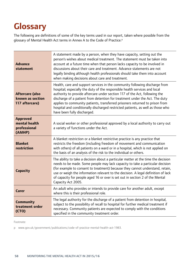# **Glossary**

The following are definitions of some of the key terms used in our report, taken where possible from the glossary of Mental Health Act terms in Annex A to the Code of Practice.<sup>p</sup>

| <b>Advance</b><br>statement                                  | A statement made by a person, when they have capacity, setting out the<br>person's wishes about medical treatment. The statement must be taken into<br>account at a future time when that person lacks capacity to be involved in<br>discussions about their care and treatment. Advance statements are not<br>legally binding although health professionals should take them into account<br>when making decisions about care and treatment.                                                                            |
|--------------------------------------------------------------|--------------------------------------------------------------------------------------------------------------------------------------------------------------------------------------------------------------------------------------------------------------------------------------------------------------------------------------------------------------------------------------------------------------------------------------------------------------------------------------------------------------------------|
| <b>Aftercare (also</b><br>known as section<br>117 aftercare) | Health, care and support services in the community following discharge from<br>hospital; especially the duty of the responsible health services and local<br>authority to provide aftercare under section 117 of the Act, following the<br>discharge of a patient from detention for treatment under the Act. The duty<br>applies to community patients, transferred prisoners returned to prison from<br>hospital and conditionally discharged restricted patients, as well as those who<br>have been fully discharged. |
| <b>Approved</b><br>mental health<br>professional<br>(AMHP)   | A social worker or other professional approved by a local authority to carry out<br>a variety of functions under the Act.                                                                                                                                                                                                                                                                                                                                                                                                |
| <b>Blanket</b><br>restriction                                | A blanket restriction or a blanket restrictive practice is any practice that<br>restricts the freedom (including freedom of movement and communication<br>with others) of all patients on a ward or in a hospital, which is not applied on<br>the basis of an analysis of the risk to the individual or others.                                                                                                                                                                                                          |
| <b>Capacity</b>                                              | The ability to take a decision about a particular matter at the time the decision<br>needs to be made. Some people may lack capacity to take a particular decision<br>(for example to consent to treatment) because they cannot understand, retain,<br>use or weigh the information relevant to the decision. A legal definition of lack<br>of capacity for people aged 16 or over is set out in section 2 of the Mental<br>Capacity Act 2005.                                                                           |
| <b>Carer</b>                                                 | An adult who provides or intends to provide care for another adult, except<br>where this is their professional role.                                                                                                                                                                                                                                                                                                                                                                                                     |
| <b>Community</b><br>treatment order<br>(CTO)                 | The legal authority for the discharge of a patient from detention in hospital,<br>subject to the possibility of recall to hospital for further medical treatment if<br>necessary. Community patients are expected to comply with the conditions<br>specified in the community treatment order.                                                                                                                                                                                                                           |

Footnote:

p www.gov.uk/government/publications/code-of-practice-mental-health-act-1983.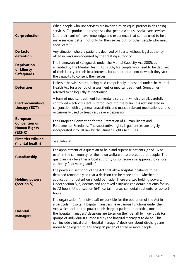| Co-production                                                            | When people who use services are involved as an equal partner in designing<br>services. Co-production recognises that people who use social care services<br>(and their families) have knowledge and experience that can be used to help<br>make services better, not only for themselves but for other people who need<br>social care. <sup>35</sup>                                                                                                                                                                                                      |
|--------------------------------------------------------------------------|------------------------------------------------------------------------------------------------------------------------------------------------------------------------------------------------------------------------------------------------------------------------------------------------------------------------------------------------------------------------------------------------------------------------------------------------------------------------------------------------------------------------------------------------------------|
| De facto<br>detention                                                    | Any situation where a patient is deprived of liberty without legal authority,<br>often in ways unrecognised by the treating authority.                                                                                                                                                                                                                                                                                                                                                                                                                     |
| <b>Deprivation</b><br>of Liberty<br><b>Safeguards</b>                    | The framework of safequards under the Mental Capacity Act 2005, as<br>amended by the Mental Health Act 2007, for people who need to be deprived<br>of their liberty in their best interests for care or treatment to which they lack<br>the capacity to consent themselves.                                                                                                                                                                                                                                                                                |
| <b>Detention</b>                                                         | Unless otherwise stated, being held compulsorily in hospital under the Mental<br>Health Act for a period of assessment or medical treatment. Sometimes<br>referred to colloquially as 'sectioning'.                                                                                                                                                                                                                                                                                                                                                        |
| <b>Electroconvulsive</b><br>therapy (ECT)                                | A form of medical treatment for mental disorder in which a small, carefully<br>controlled electric current is introduced into the brain. It is administered in<br>conjunction with a general anaesthetic and muscle relaxant medications and is<br>occasionally used to treat very severe depression.                                                                                                                                                                                                                                                      |
| <b>European</b><br><b>Convention on</b><br><b>Human Rights</b><br>(ECHR) | The European Convention for the Protection of Human Rights and<br>Fundamental Freedoms. The substantive rights it quarantees are largely<br>incorporated into UK law by the Human Rights Act 1998.                                                                                                                                                                                                                                                                                                                                                         |
| <b>First-tier tribunal</b><br>(mental health)                            | See Tribunal                                                                                                                                                                                                                                                                                                                                                                                                                                                                                                                                               |
| Guardianship                                                             | The appointment of a guardian to help and supervise patients (aged 16 or<br>over) in the community for their own welfare or to protect other people. The<br>quardian may be either a local authority or someone else approved by a local<br>authority (a private guardian).                                                                                                                                                                                                                                                                                |
| <b>Holding powers</b><br>(section 5)                                     | The powers in section 5 of the Act that allow hospital inpatients to be<br>detained temporarily so that a decision can be made about whether an<br>application for detention should be made. There are two holding powers.<br>Under section 5(2) doctors and approved clinicians can detain patients for up<br>to 72 hours. Under section 5(4), certain nurses can detain patients for up to 6<br>hours.                                                                                                                                                   |
| <b>Hospital</b><br>managers                                              | The organisation (or individual) responsible for the operation of the Act in<br>a particular hospital. Hospital managers have various functions under the<br>Act, which include the power to discharge a patient. In practice, most of<br>the hospital managers' decisions are taken on their behalf by individuals (or<br>groups of individuals) authorised by the hospital managers to do so. This<br>can include clinical staff. Hospital managers' decisions about discharge are<br>normally delegated to a 'managers' panel' of three or more people. |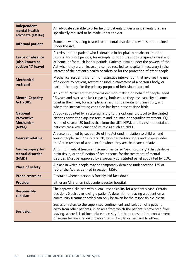| Independent<br>mental health<br>advocate (IMHA)                   | An advocate available to offer help to patients under arrangements that are<br>specifically required to be made under the Act.                                                                                                                                                                                                                                                                                     |  |  |
|-------------------------------------------------------------------|--------------------------------------------------------------------------------------------------------------------------------------------------------------------------------------------------------------------------------------------------------------------------------------------------------------------------------------------------------------------------------------------------------------------|--|--|
| <b>Informal patient</b>                                           | Someone who is being treated for a mental disorder and who is not detained<br>under the Act.                                                                                                                                                                                                                                                                                                                       |  |  |
| <b>Leave of absence</b><br>(also known as<br>section 17 leave)    | Permission for a patient who is detained in hospital to be absent from the<br>hospital for short periods, for example to go to the shops or spend a weekend<br>at home, or for much longer periods. Patients remain under the powers of the<br>Act when they are on leave and can be recalled to hospital if necessary in the<br>interest of the patient's health or safety or for the protection of other people. |  |  |
| <b>Mechanical</b><br>restraint                                    | Mechanical restraint is a form of restrictive intervention that involves the use<br>of a device to prevent, restrict or subdue movement of a person's body, or<br>part of the body, for the primary purpose of behavioural control.                                                                                                                                                                                |  |  |
| <b>Mental Capacity</b><br><b>Act 2005</b>                         | An Act of Parliament that governs decision-making on behalf of people, aged<br>16 years and over, who lack capacity, both where they lose capacity at some<br>point in their lives, for example as a result of dementia or brain injury, and<br>where the incapacitating condition has been present since birth.                                                                                                   |  |  |
| <b>National</b><br><b>Preventive</b><br><b>Mechanism</b><br>(NPM) | A body appointed by a state signatory to the optional protocol to the United<br>Nations convention against torture and inhuman or degrading treatment. CQC<br>is one of several UK bodies that form the UK's NPM, and its visits to detained<br>patients are a key element of its role as such an NPM.                                                                                                             |  |  |
| <b>Nearest relative</b>                                           | A person defined by section 26 of the Act (and in relation to children and<br>young people, sections 27 and 28) who has certain rights and powers under<br>the Act in respect of a patient for whom they are the nearest relative.                                                                                                                                                                                 |  |  |
| <b>Neurosurgery for</b><br>mental disorder<br>(NMD)               | A form of medical treatment (sometimes called 'psychosurgery') that destroys<br>brain tissue, or the function of brain tissue, for the treatment of mental<br>disorder. Must be approved by a specially constituted panel appointed by CQC.                                                                                                                                                                        |  |  |
| <b>Place of safety</b>                                            | A place in which people may be temporarily detained under section 135 or<br>136 of the Act, as defined in section 135(6).                                                                                                                                                                                                                                                                                          |  |  |
| <b>Prone restraint</b>                                            | Restraint where a person is forcibly laid face down.                                                                                                                                                                                                                                                                                                                                                               |  |  |
| <b>Provider</b>                                                   | Either an NHS or an independent sector hospital.                                                                                                                                                                                                                                                                                                                                                                   |  |  |
| <b>Responsible</b><br>clinician                                   | The approved clinician with overall responsibility for a patient's case. Certain<br>decisions (such as renewing a patient's detention or placing a patient on a<br>community treatment order) can only be taken by the responsible clinician.                                                                                                                                                                      |  |  |
| <b>Seclusion</b>                                                  | Seclusion refers to the supervised confinement and isolation of a patient,<br>away from other patients, in an area from which the patient is prevented from<br>leaving, where it is of immediate necessity for the purpose of the containment<br>of severe behavioural disturbance that is likely to cause harm to others.                                                                                         |  |  |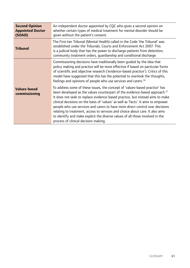| <b>Second Opinion</b><br><b>Appointed Doctor</b><br>(SOAD) | An independent doctor appointed by CQC who gives a second opinion on<br>whether certain types of medical treatment for mental disorder should be<br>given without the patient's consent.                                                                                                                                                                                                                                                                                                                                                                                                                                                |
|------------------------------------------------------------|-----------------------------------------------------------------------------------------------------------------------------------------------------------------------------------------------------------------------------------------------------------------------------------------------------------------------------------------------------------------------------------------------------------------------------------------------------------------------------------------------------------------------------------------------------------------------------------------------------------------------------------------|
| <b>Tribunal</b>                                            | The First-tier Tribunal (Mental Health) called in the Code 'the Tribunal' was<br>established under the Tribunals, Courts and Enforcement Act 2007. This<br>is a judicial body that has the power to discharge patients from detention,<br>community treatment orders, quardianship and conditional discharge.                                                                                                                                                                                                                                                                                                                           |
|                                                            | Commissioning decisions have traditionally been quided by the idea that<br>policy making and practice will be more effective if based on particular forms<br>of scientific and objective research ('evidence-based practice'). Critics of this<br>model have suggested that this has the potential to overlook the thoughts,<br>feelings and opinions of people who use services and carers. <sup>36</sup>                                                                                                                                                                                                                              |
| <b>Values-based</b><br>commissioning                       | To address some of these issues, the concept of 'values-based practice' has<br>been developed as the values counterpart of the evidence-based approach. <sup>37</sup><br>It does not seek to replace evidence-based practice, but instead aims to make<br>clinical decisions on the basis of 'values' as well as 'facts'. It aims to empower<br>people who use services and carers to have more direct control over decisions<br>relating to treatment, access to services and choice about care. It also aims<br>to identify and make explicit the diverse values of all those involved in the<br>process of clinical decision-making. |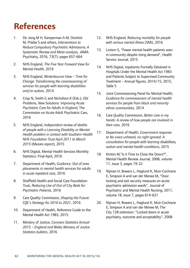# **References**

- 1. De Jong M H, Kamperman A M, Oorshot M, Priebe S and others, *Interventions to Reduce Compulsory Psychiatric Admissions; A Systematic Review and Meta-analysis*, JAMA Psychiatry, 2016, 73(7): pages 657-664
- 2. NHS England, *The Five Year Forward View for Mental Health, 2016*
- 3. NHS England, *Winterbourne View Time for Change: Transforming the commissioning of services for people with learning disabilities and/or autism,* 2014
- 4. Crisp N, Smith G and Nicholson K (Eds.), *Old Problems, New Solutions: Improving Acute Psychiatric Care for Adults in England,* The Commission on Acute Adult Psychiatric Care, 2016
- 5. NHS England, *Independent review of deaths of people with a Learning Disability or Mental Health problem in contact with Southern Health NHS Foundation Trust April 2011 to March 2015* (Mazars report), 2015
- Statistics: Final April, 2016 6. NHS Digital, Mental Health Services Monthly
- Statistics: Final April, 2016 7. Department of Health, *Guidance: Out of area placements in mental health services for adults in acute inpatient care,* 2016
- 8. Sheffield Health and Social Care Foundation Trust, *Reducing Use of Out of City Beds for Psychiatric Patients,* 2016
- 9. Care Quality Commission, *Shaping the Future: CQC's Strategy for 2016 to 2021*, 2016
- 10. Department of Health, Reference Guide to the Mental Health Act 1983, 2015
- 11. Ministry of Justice, *Coroners Statistics Annual 2015 – England and Wales Ministry of Justice Statistics bulletin*, 2016
- 12. NHS England, *Reducing mortality for people with serious mental illness (SMI)*, 2016
- 13. Lintern S, "Fewer mental health patients seen in community despite rising demand", Health Service Journal, 2015
- 14. NHS Digital, Inpatients Formally Detained in Hospitals Under the Mental Health Act 1983 and Patients Subject to Supervised Community Treatment – Annual figures, 2014/15, 2015, Table 5
- 15. Joint Commissioning Panel for Mental Health, *Guidance for commissioners of mental health services for people from black and minority ethnic communities,* 2014
- 16. Care Quality Commission, *Better care in my hands: A review of how people are involved in their care,* 2016
- 17. Department of Health, *Government response to No voice unheard, no right ignored: A consultation for people with learning* disabilities, *autism and mental health conditions*, 2015
- 18. Kinton M," Is it Time to Close the Doors?", Mental Health Review Journal, 2006, volume 11, issue 3, pages 19-22
- 19. Nijman H, Bowers L, Haglund K, Muir-Cochrane E, Simpson A and van der Merwe M, "Door locking and exit security measures on acute psychiatric admission wards", Journal of Psychiatric and Mental Health Nursing, 2011, volume 18, issue 7, pages 614-621
- 20. Nijman H, Bowers L, Haglund K, Muir-Cochrane E, Simpson A and van der Merwe M, The City 128 extension: "Locked doors in acute psychiatry, outcome and acceptability", 2008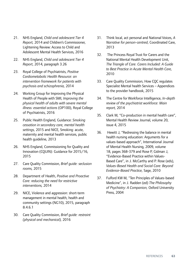- Adolescent Mental Health Services, 2016 21. NHS England, *Child and adolescent Tier 4 Report,* 2014 and Children's Commissioner, Lightening Review: Access to Child and
- 22. NHS England, Child and adolescent Tier 4 *Report*, 2014, paragraph 3.26
- 23. Royal College of Psychiatrists, *Positive Cardiometabolic Health Resource: an intervention framework for patients with psychosis and schizophrenia,* 2014
- 24. Working Group for Improving the Physical Health of People with SMI, *Improving the physical health of adults with severe mental illness: essential actions* (OP100), Royal College of Psychiatrists, 2016
- 25. Public Health England, Guidance: *Smoking cessation in secondary care, mental health settings,* 2015 and NICE, Smoking: acute, maternity and mental health services, public health guideline, 2013
- 26. NHS England, Commissioning for Quality and Innovation (CQUIN): Guidance for 2015/16, 2015
- 27. Care Quality Commission, *Brief guide: seclusion rooms,* 2015
- 28. Department of Health, *Positive and Proactive Care: reducing the need for restrictive interventions,* 2014
- 29. NICE, Violence and aggression: short-term management in mental health, health and community settings (NG10), 2015, paragraph 8.4.6.1
- 30. Care Quality Commission, *Brief guide: restraint (physical and mechanical),* 2016
- 31. Think local, act personal and National Voices, *A Narrative for person-centred*, Coordinated Care, 2013
- 32. The Princess Royal Trust for Carers and the National Mental Health Development Unit, *The Triangle of Care. Carers Included: A Guide to Best Practice in Acute Mental Health Care,*  2010
- 33. Care Quality Commission, How CQC regulates Specialist Mental health Services – Appendices to the provider handbook, 2015
- 34. The Centre for Workforce Intelligence, *In-depth review of the psychiatrist workforce: Main report,* 2014
- 35. Clark M, "Co-production in mental health care", Mental Health Review Journal, volume 20, issue 4, 2015
- 36. Hewitt J, "Redressing the balance in mental health nursing education: Arguments for a values-based approach", International Journal of Mental Health Nursing, 2009, volume 18, pages 368-379 and Rose P, Gidman J, "Evidence-Based Practice within Values-Based Care", in J. McCarthy and P. Rose (eds), *Values-Based Health and Social Care: Beyond Evidence-Based Practice,* Sage, 2010
- 37. Fulford KW M, "Ten Principles of Values-based Medicine", in J. Radden (ed) *The Philosophy of Psychiatry: A Companion,* Oxford University Press, 2004